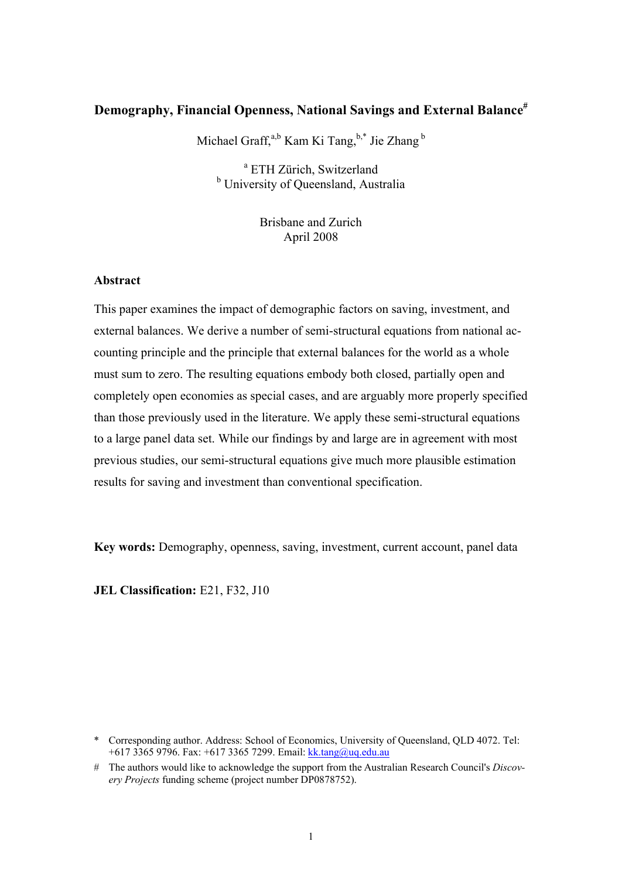## **Demography, Financial Openness, National Savings and External Balance#**

Michael Graff, $a,b$  Kam Ki Tang, $b^*$  Jie Zhang $b$ 

<sup>a</sup> ETH Zürich, Switzerland <sup>b</sup> University of Queensland, Australia

> Brisbane and Zurich April 2008

#### **Abstract**

This paper examines the impact of demographic factors on saving, investment, and external balances. We derive a number of semi-structural equations from national accounting principle and the principle that external balances for the world as a whole must sum to zero. The resulting equations embody both closed, partially open and completely open economies as special cases, and are arguably more properly specified than those previously used in the literature. We apply these semi-structural equations to a large panel data set. While our findings by and large are in agreement with most previous studies, our semi-structural equations give much more plausible estimation results for saving and investment than conventional specification.

**Key words:** Demography, openness, saving, investment, current account, panel data

**JEL Classification:** E21, F32, J10

<sup>\*</sup> Corresponding author. Address: School of Economics, University of Queensland, QLD 4072. Tel: +617 3365 9796. Fax: +617 3365 7299. Email: kk.tang@uq.edu.au

<sup>#</sup> The authors would like to acknowledge the support from the Australian Research Council's *Discovery Projects* funding scheme (project number DP0878752).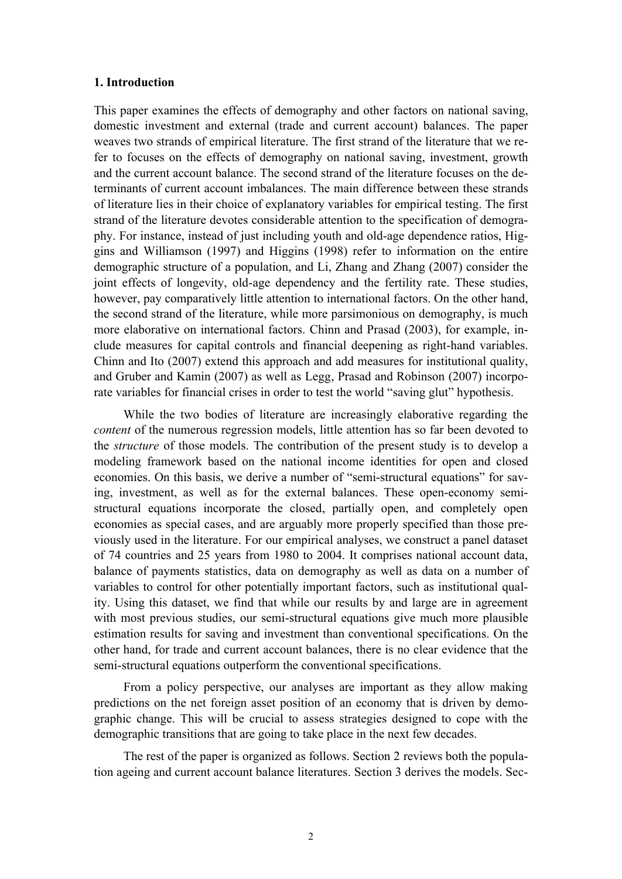#### **1. Introduction**

This paper examines the effects of demography and other factors on national saving, domestic investment and external (trade and current account) balances. The paper weaves two strands of empirical literature. The first strand of the literature that we refer to focuses on the effects of demography on national saving, investment, growth and the current account balance. The second strand of the literature focuses on the determinants of current account imbalances. The main difference between these strands of literature lies in their choice of explanatory variables for empirical testing. The first strand of the literature devotes considerable attention to the specification of demography. For instance, instead of just including youth and old-age dependence ratios, Higgins and Williamson (1997) and Higgins (1998) refer to information on the entire demographic structure of a population, and Li, Zhang and Zhang (2007) consider the joint effects of longevity, old-age dependency and the fertility rate. These studies, however, pay comparatively little attention to international factors. On the other hand, the second strand of the literature, while more parsimonious on demography, is much more elaborative on international factors. Chinn and Prasad (2003), for example, include measures for capital controls and financial deepening as right-hand variables. Chinn and Ito (2007) extend this approach and add measures for institutional quality, and Gruber and Kamin (2007) as well as Legg, Prasad and Robinson (2007) incorporate variables for financial crises in order to test the world "saving glut" hypothesis.

While the two bodies of literature are increasingly elaborative regarding the *content* of the numerous regression models, little attention has so far been devoted to the *structure* of those models. The contribution of the present study is to develop a modeling framework based on the national income identities for open and closed economies. On this basis, we derive a number of "semi-structural equations" for saving, investment, as well as for the external balances. These open-economy semistructural equations incorporate the closed, partially open, and completely open economies as special cases, and are arguably more properly specified than those previously used in the literature. For our empirical analyses, we construct a panel dataset of 74 countries and 25 years from 1980 to 2004. It comprises national account data, balance of payments statistics, data on demography as well as data on a number of variables to control for other potentially important factors, such as institutional quality. Using this dataset, we find that while our results by and large are in agreement with most previous studies, our semi-structural equations give much more plausible estimation results for saving and investment than conventional specifications. On the other hand, for trade and current account balances, there is no clear evidence that the semi-structural equations outperform the conventional specifications.

From a policy perspective, our analyses are important as they allow making predictions on the net foreign asset position of an economy that is driven by demographic change. This will be crucial to assess strategies designed to cope with the demographic transitions that are going to take place in the next few decades.

The rest of the paper is organized as follows. Section 2 reviews both the population ageing and current account balance literatures. Section 3 derives the models. Sec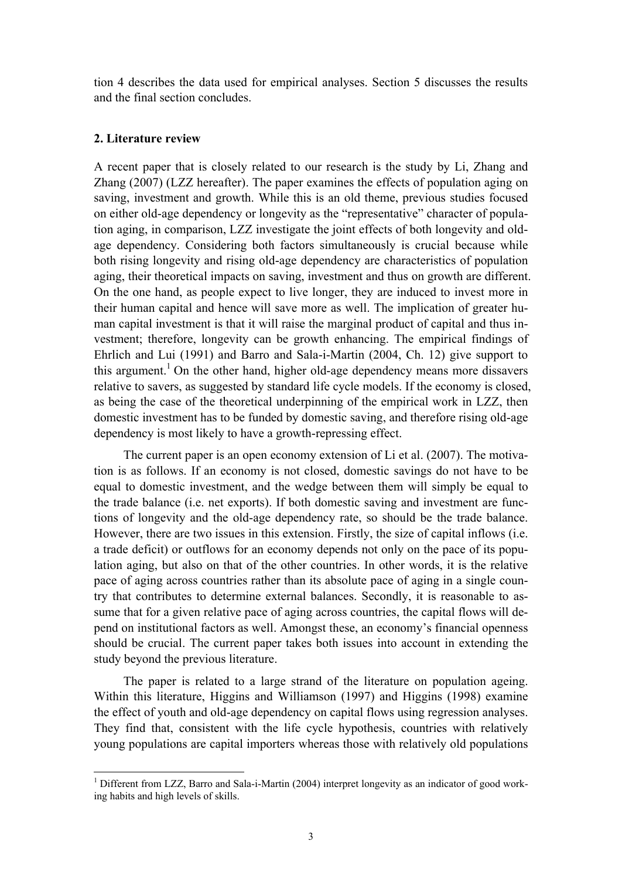tion 4 describes the data used for empirical analyses. Section 5 discusses the results and the final section concludes.

#### **2. Literature review**

 $\overline{a}$ 

A recent paper that is closely related to our research is the study by Li, Zhang and Zhang (2007) (LZZ hereafter). The paper examines the effects of population aging on saving, investment and growth. While this is an old theme, previous studies focused on either old-age dependency or longevity as the "representative" character of population aging, in comparison, LZZ investigate the joint effects of both longevity and oldage dependency. Considering both factors simultaneously is crucial because while both rising longevity and rising old-age dependency are characteristics of population aging, their theoretical impacts on saving, investment and thus on growth are different. On the one hand, as people expect to live longer, they are induced to invest more in their human capital and hence will save more as well. The implication of greater human capital investment is that it will raise the marginal product of capital and thus investment; therefore, longevity can be growth enhancing. The empirical findings of Ehrlich and Lui (1991) and Barro and Sala-i-Martin (2004, Ch. 12) give support to this argument.<sup>1</sup> On the other hand, higher old-age dependency means more dissavers relative to savers, as suggested by standard life cycle models. If the economy is closed, as being the case of the theoretical underpinning of the empirical work in LZZ, then domestic investment has to be funded by domestic saving, and therefore rising old-age dependency is most likely to have a growth-repressing effect.

The current paper is an open economy extension of Li et al. (2007). The motivation is as follows. If an economy is not closed, domestic savings do not have to be equal to domestic investment, and the wedge between them will simply be equal to the trade balance (i.e. net exports). If both domestic saving and investment are functions of longevity and the old-age dependency rate, so should be the trade balance. However, there are two issues in this extension. Firstly, the size of capital inflows (i.e. a trade deficit) or outflows for an economy depends not only on the pace of its population aging, but also on that of the other countries. In other words, it is the relative pace of aging across countries rather than its absolute pace of aging in a single country that contributes to determine external balances. Secondly, it is reasonable to assume that for a given relative pace of aging across countries, the capital flows will depend on institutional factors as well. Amongst these, an economy's financial openness should be crucial. The current paper takes both issues into account in extending the study beyond the previous literature.

The paper is related to a large strand of the literature on population ageing. Within this literature, Higgins and Williamson (1997) and Higgins (1998) examine the effect of youth and old-age dependency on capital flows using regression analyses. They find that, consistent with the life cycle hypothesis, countries with relatively young populations are capital importers whereas those with relatively old populations

<sup>1</sup> Different from LZZ, Barro and Sala-i-Martin (2004) interpret longevity as an indicator of good working habits and high levels of skills.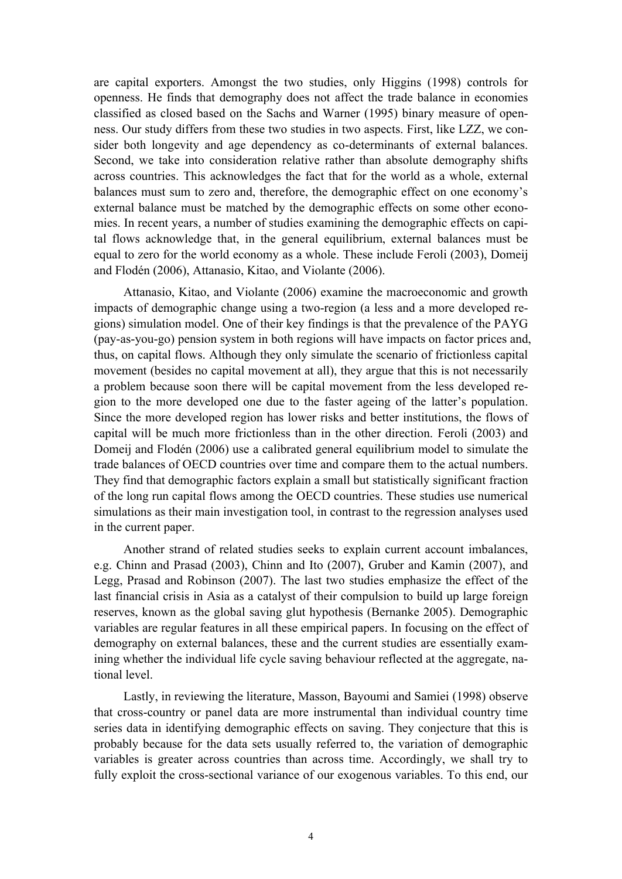are capital exporters. Amongst the two studies, only Higgins (1998) controls for openness. He finds that demography does not affect the trade balance in economies classified as closed based on the Sachs and Warner (1995) binary measure of openness. Our study differs from these two studies in two aspects. First, like LZZ, we consider both longevity and age dependency as co-determinants of external balances. Second, we take into consideration relative rather than absolute demography shifts across countries. This acknowledges the fact that for the world as a whole, external balances must sum to zero and, therefore, the demographic effect on one economy's external balance must be matched by the demographic effects on some other economies. In recent years, a number of studies examining the demographic effects on capital flows acknowledge that, in the general equilibrium, external balances must be equal to zero for the world economy as a whole. These include Feroli (2003), Domeij and Flodén (2006), Attanasio, Kitao, and Violante (2006).

Attanasio, Kitao, and Violante (2006) examine the macroeconomic and growth impacts of demographic change using a two-region (a less and a more developed regions) simulation model. One of their key findings is that the prevalence of the PAYG (pay-as-you-go) pension system in both regions will have impacts on factor prices and, thus, on capital flows. Although they only simulate the scenario of frictionless capital movement (besides no capital movement at all), they argue that this is not necessarily a problem because soon there will be capital movement from the less developed region to the more developed one due to the faster ageing of the latter's population. Since the more developed region has lower risks and better institutions, the flows of capital will be much more frictionless than in the other direction. Feroli (2003) and Domeij and Flodén (2006) use a calibrated general equilibrium model to simulate the trade balances of OECD countries over time and compare them to the actual numbers. They find that demographic factors explain a small but statistically significant fraction of the long run capital flows among the OECD countries. These studies use numerical simulations as their main investigation tool, in contrast to the regression analyses used in the current paper.

Another strand of related studies seeks to explain current account imbalances, e.g. Chinn and Prasad (2003), Chinn and Ito (2007), Gruber and Kamin (2007), and Legg, Prasad and Robinson (2007). The last two studies emphasize the effect of the last financial crisis in Asia as a catalyst of their compulsion to build up large foreign reserves, known as the global saving glut hypothesis (Bernanke 2005). Demographic variables are regular features in all these empirical papers. In focusing on the effect of demography on external balances, these and the current studies are essentially examining whether the individual life cycle saving behaviour reflected at the aggregate, national level.

Lastly, in reviewing the literature, Masson, Bayoumi and Samiei (1998) observe that cross-country or panel data are more instrumental than individual country time series data in identifying demographic effects on saving. They conjecture that this is probably because for the data sets usually referred to, the variation of demographic variables is greater across countries than across time. Accordingly, we shall try to fully exploit the cross-sectional variance of our exogenous variables. To this end, our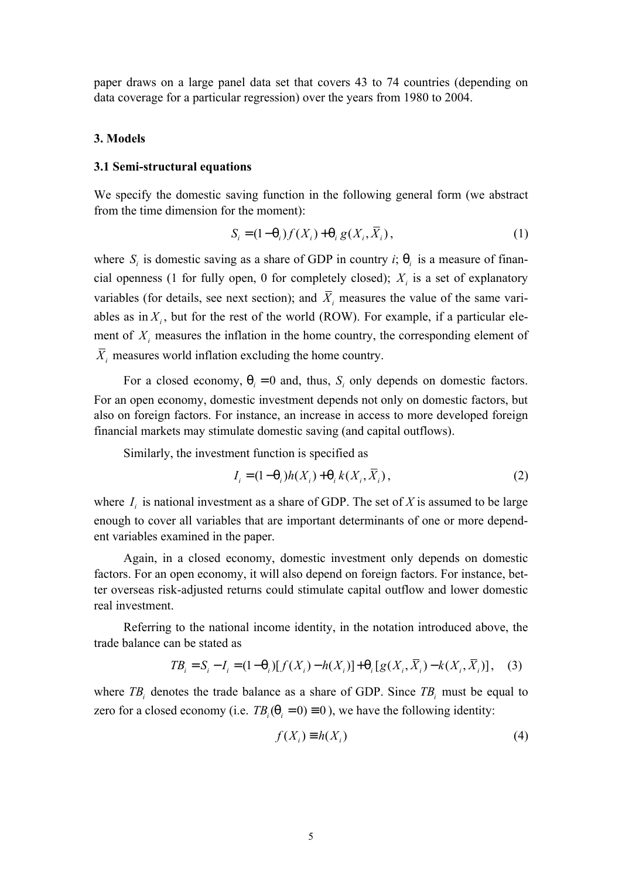paper draws on a large panel data set that covers 43 to 74 countries (depending on data coverage for a particular regression) over the years from 1980 to 2004.

#### **3. Models**

#### **3.1 Semi-structural equations**

We specify the domestic saving function in the following general form (we abstract from the time dimension for the moment):

$$
S_i = (1 - \mathsf{q}_i) f(X_i) + \mathsf{q}_i g(X_i, \overline{X}_i), \tag{1}
$$

where  $S_i$  is domestic saving as a share of GDP in country *i*;  $q_i$  is a measure of financial openness (1 for fully open, 0 for completely closed);  $X_i$  is a set of explanatory variables (for details, see next section); and  $X_i$  measures the value of the same variables as in  $X_i$ , but for the rest of the world (ROW). For example, if a particular element of  $X_i$  measures the inflation in the home country, the corresponding element of *Xi* measures world inflation excluding the home country.

For a closed economy,  $q_i = 0$  and, thus,  $S_i$  only depends on domestic factors. For an open economy, domestic investment depends not only on domestic factors, but also on foreign factors. For instance, an increase in access to more developed foreign financial markets may stimulate domestic saving (and capital outflows).

Similarly, the investment function is specified as

$$
I_i = (1 - \mathsf{q}_i)h(X_i) + \mathsf{q}_i k(X_i, \overline{X}_i), \tag{2}
$$

where  $I_i$  is national investment as a share of GDP. The set of  $X$  is assumed to be large enough to cover all variables that are important determinants of one or more dependent variables examined in the paper.

Again, in a closed economy, domestic investment only depends on domestic factors. For an open economy, it will also depend on foreign factors. For instance, better overseas risk-adjusted returns could stimulate capital outflow and lower domestic real investment.

Referring to the national income identity, in the notation introduced above, the trade balance can be stated as

$$
TB_i = S_i - I_i = (1 - q_i)[f(X_i) - h(X_i)] + q_i[g(X_i, \overline{X}_i) - k(X_i, \overline{X}_i)], \quad (3)
$$

where  $TB_i$  denotes the trade balance as a share of GDP. Since  $TB_i$  must be equal to zero for a closed economy (i.e.  $TB_i(q_i = 0) \equiv 0$ ), we have the following identity:

$$
f(X_i) \equiv h(X_i) \tag{4}
$$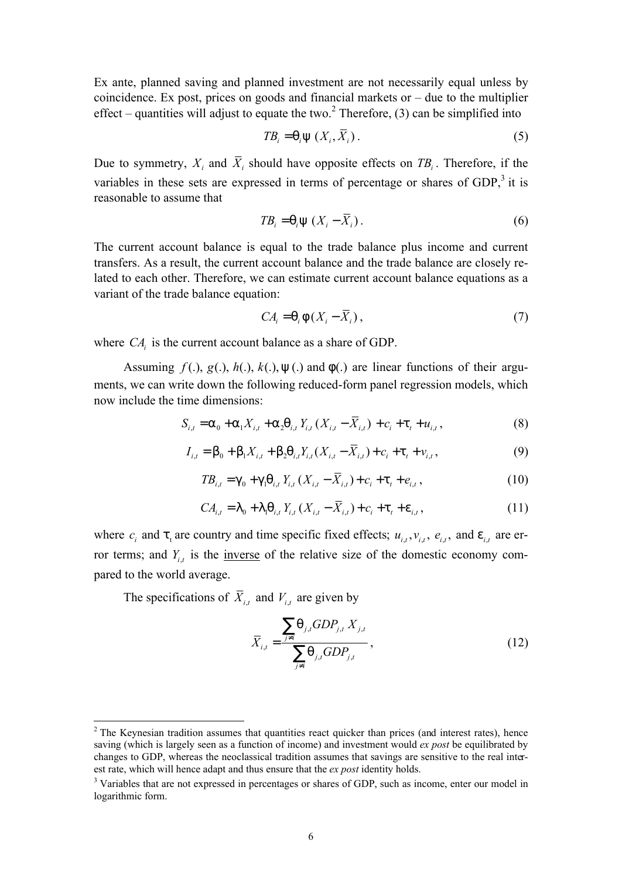Ex ante, planned saving and planned investment are not necessarily equal unless by coincidence. Ex post, prices on goods and financial markets or – due to the multiplier effect – quantities will adjust to equate the two.<sup>2</sup> Therefore, (3) can be simplified into

$$
TB_i = \mathsf{q}_i \mathsf{y} \left( X_i, \overline{X}_i \right). \tag{5}
$$

Due to symmetry,  $X_i$  and  $X_i$  should have opposite effects on  $TB_i$ . Therefore, if the variables in these sets are expressed in terms of percentage or shares of GDP, $3$  it is reasonable to assume that

$$
TB_i = \mathsf{q}_i \mathsf{y} \left( X_i - \overline{X}_i \right). \tag{6}
$$

The current account balance is equal to the trade balance plus income and current transfers. As a result, the current account balance and the trade balance are closely related to each other. Therefore, we can estimate current account balance equations as a variant of the trade balance equation:

$$
CA_i = \mathsf{q}_i \mathsf{f}\left(X_i - \overline{X}_i\right),\tag{7}
$$

where  $CA<sub>i</sub>$  is the current account balance as a share of GDP.

Assuming  $f(.)$ ,  $g(.)$ ,  $h(.)$ ,  $k(.)$ ,  $y(.)$  and  $f(.)$  are linear functions of their arguments, we can write down the following reduced-form panel regression models, which now include the time dimensions:

$$
S_{i,t} = a_0 + a_1 X_{i,t} + a_2 A_{i,t} Y_{i,t} (X_{i,t} - \bar{X}_{i,t}) + c_i + t_t + u_{i,t},
$$
\n(8)

$$
I_{i,t} = b_0 + b_1 X_{i,t} + b_2 q_{i,t} Y_{i,t} (X_{i,t} - \overline{X}_{i,t}) + c_i + t_t + v_{i,t},
$$
\n(9)

$$
TB_{i,t} = g_0 + g_1 q_{i,t} Y_{i,t} (X_{i,t} - \overline{X}_{i,t}) + c_i + t_t + e_{i,t},
$$
\n(10)

$$
CA_{i,t} = I_0 + I_1 q_{i,t} Y_{i,t} (X_{i,t} - \overline{X}_{i,t}) + c_i + t_t + e_{i,t},
$$
\n(11)

where  $c_i$  and  $t_i$  are country and time specific fixed effects;  $u_{i,t}$ ,  $v_{i,t}$ ,  $e_{i,t}$ , and  $e_{i,t}$  are error terms; and  $Y_{i,t}$  is the <u>inverse</u> of the relative size of the domestic economy compared to the world average.

The specifications of  $X_{i,t}$  and  $V_{i,t}$  are given by

$$
\bar{X}_{i,t} = \frac{\sum_{j \neq i} q_{j,t} GDP_{j,t} X_{j,t}}{\sum_{j \neq i} q_{j,t} GDP_{j,t}},
$$
\n(12)

 $2$  The Keynesian tradition assumes that quantities react quicker than prices (and interest rates), hence saving (which is largely seen as a function of income) and investment would *ex post* be equilibrated by changes to GDP, whereas the neoclassical tradition assumes that savings are sensitive to the real interest rate, which will hence adapt and thus ensure that the *ex post* identity holds.

<sup>3</sup> Variables that are not expressed in percentages or shares of GDP, such as income, enter our model in logarithmic form.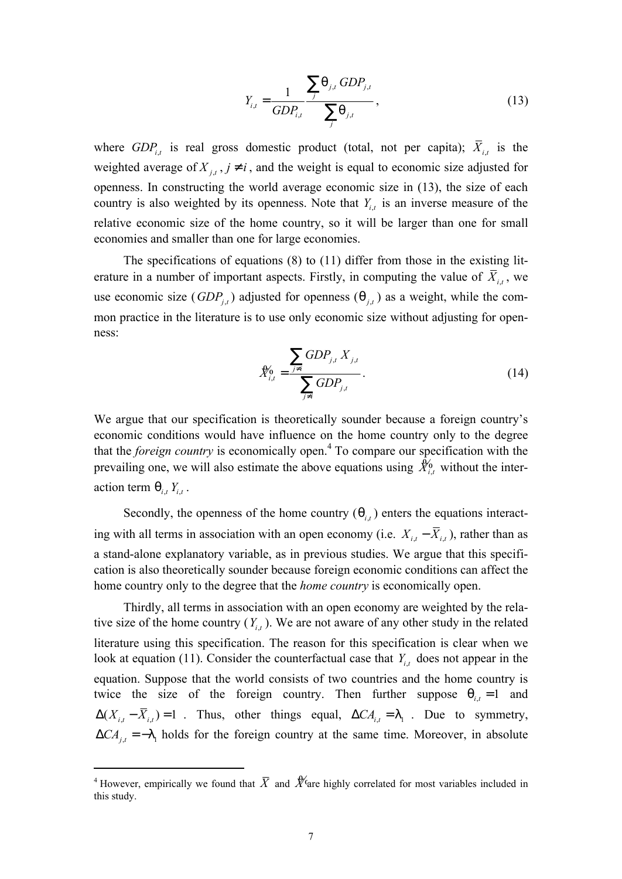$$
Y_{i,t} = \frac{1}{GDP_{i,t}} \frac{\sum_{j} q_{j,t} GDP_{j,t}}{\sum_{j} q_{j,t}},
$$
\n(13)

where  $GDP_{i,t}$  is real gross domestic product (total, not per capita);  $X_{i,t}$  is the weighted average of  $X_{i,t}$ ,  $j \neq i$ , and the weight is equal to economic size adjusted for openness. In constructing the world average economic size in (13), the size of each country is also weighted by its openness. Note that  $Y_{i,t}$  is an inverse measure of the relative economic size of the home country, so it will be larger than one for small economies and smaller than one for large economies.

The specifications of equations (8) to (11) differ from those in the existing literature in a number of important aspects. Firstly, in computing the value of  $X_{i,t}$ , we use economic size  $(GDP_{j,t})$  adjusted for openness  $(q_{j,t})$  as a weight, while the common practice in the literature is to use only economic size without adjusting for openness:

$$
\mathcal{X}_{i,t}^{\mathbf{0}} = \frac{\sum_{j \neq i} GDP_{j,t} X_{j,t}}{\sum_{j \neq i} GDP_{j,t}}.
$$
\n(14)

We argue that our specification is theoretically sounder because a foreign country's economic conditions would have influence on the home country only to the degree that the *foreign country* is economically open.<sup>4</sup> To compare our specification with the prevailing one, we will also estimate the above equations using  $\mathcal{X}_{i,t}^{\mathbf{0}}$  without the interaction term  $q_{i,t} Y_{i,t}$ .

Secondly, the openness of the home country  $(q_{i,t})$  enters the equations interacting with all terms in association with an open economy (i.e.  $X_{i,t} - \overline{X}_{i,t}$ ), rather than as a stand-alone explanatory variable, as in previous studies. We argue that this specification is also theoretically sounder because foreign economic conditions can affect the home country only to the degree that the *home country* is economically open.

Thirdly, all terms in association with an open economy are weighted by the relative size of the home country  $(Y_{i,t})$ . We are not aware of any other study in the related literature using this specification. The reason for this specification is clear when we look at equation (11). Consider the counterfactual case that  $Y_{i,t}$  does not appear in the equation. Suppose that the world consists of two countries and the home country is twice the size of the foreign country. Then further suppose  $q_{i,t} = 1$  and  $\Delta(X_{i,t} - X_{i,t}) = 1$ . Thus, other things equal,  $\Delta CA_{i,t} = I_1$ . Due to symmetry,  $\Delta C A_{j,t} = -I_1$  holds for the foreign country at the same time. Moreover, in absolute

<sup>&</sup>lt;sup>4</sup> However, empirically we found that  $\overline{X}$  and  $\overline{X}$  are highly correlated for most variables included in this study.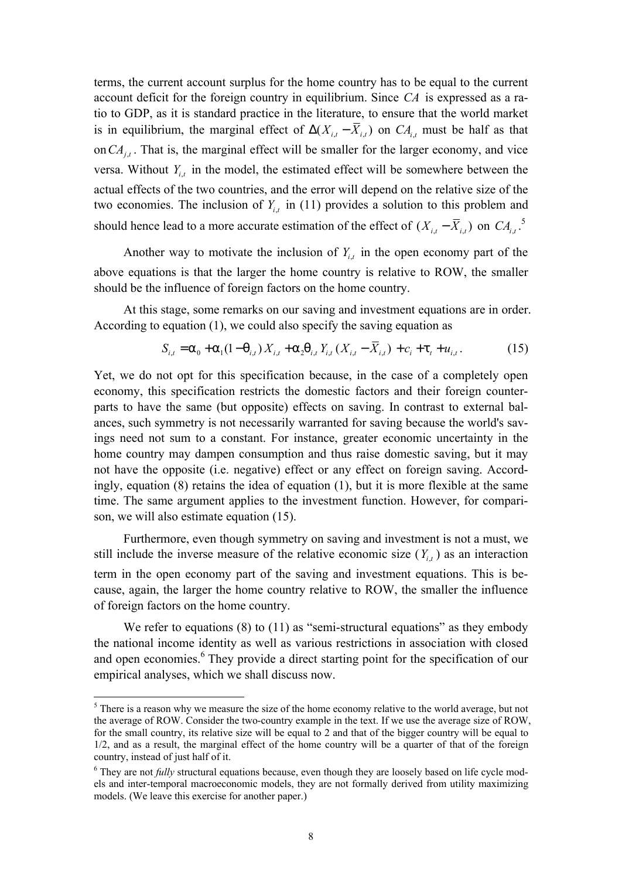terms, the current account surplus for the home country has to be equal to the current account deficit for the foreign country in equilibrium. Since *CA* is expressed as a ratio to GDP, as it is standard practice in the literature, to ensure that the world market is in equilibrium, the marginal effect of  $\Delta(X_{i,t} - X_{i,t})$  on  $CA_{i,t}$  must be half as that on  $CA_{j,t}$ . That is, the marginal effect will be smaller for the larger economy, and vice versa. Without  $Y_{i,t}$  in the model, the estimated effect will be somewhere between the actual effects of the two countries, and the error will depend on the relative size of the two economies. The inclusion of  $Y_{i,t}$  in (11) provides a solution to this problem and should hence lead to a more accurate estimation of the effect of  $(X_{i,t} - \overline{X}_{i,t})$  on  $CA_{i,t}$ .<sup>5</sup>

Another way to motivate the inclusion of  $Y_{i,t}$  in the open economy part of the above equations is that the larger the home country is relative to ROW, the smaller should be the influence of foreign factors on the home country.

At this stage, some remarks on our saving and investment equations are in order. According to equation (1), we could also specify the saving equation as

$$
S_{i,t} = a_0 + a_1(1 - \mathbf{q}_{i,t}) X_{i,t} + a_2 \mathbf{q}_{i,t} Y_{i,t} (X_{i,t} - X_{i,t}) + c_i + \mathbf{t}_t + u_{i,t}.
$$
 (15)

Yet, we do not opt for this specification because, in the case of a completely open economy, this specification restricts the domestic factors and their foreign counterparts to have the same (but opposite) effects on saving. In contrast to external balances, such symmetry is not necessarily warranted for saving because the world's savings need not sum to a constant. For instance, greater economic uncertainty in the home country may dampen consumption and thus raise domestic saving, but it may not have the opposite (i.e. negative) effect or any effect on foreign saving. Accordingly, equation (8) retains the idea of equation (1), but it is more flexible at the same time. The same argument applies to the investment function. However, for comparison, we will also estimate equation (15).

Furthermore, even though symmetry on saving and investment is not a must, we still include the inverse measure of the relative economic size  $(Y_{i,t})$  as an interaction term in the open economy part of the saving and investment equations. This is because, again, the larger the home country relative to ROW, the smaller the influence of foreign factors on the home country.

We refer to equations (8) to (11) as "semi-structural equations" as they embody the national income identity as well as various restrictions in association with closed and open economies.<sup>6</sup> They provide a direct starting point for the specification of our empirical analyses, which we shall discuss now.

<sup>&</sup>lt;sup>5</sup> There is a reason why we measure the size of the home economy relative to the world average, but not the average of ROW. Consider the two-country example in the text. If we use the average size of ROW, for the small country, its relative size will be equal to 2 and that of the bigger country will be equal to 1/2, and as a result, the marginal effect of the home country will be a quarter of that of the foreign country, instead of just half of it.

<sup>&</sup>lt;sup>6</sup> They are not *fully* structural equations because, even though they are loosely based on life cycle models and inter-temporal macroeconomic models, they are not formally derived from utility maximizing models. (We leave this exercise for another paper.)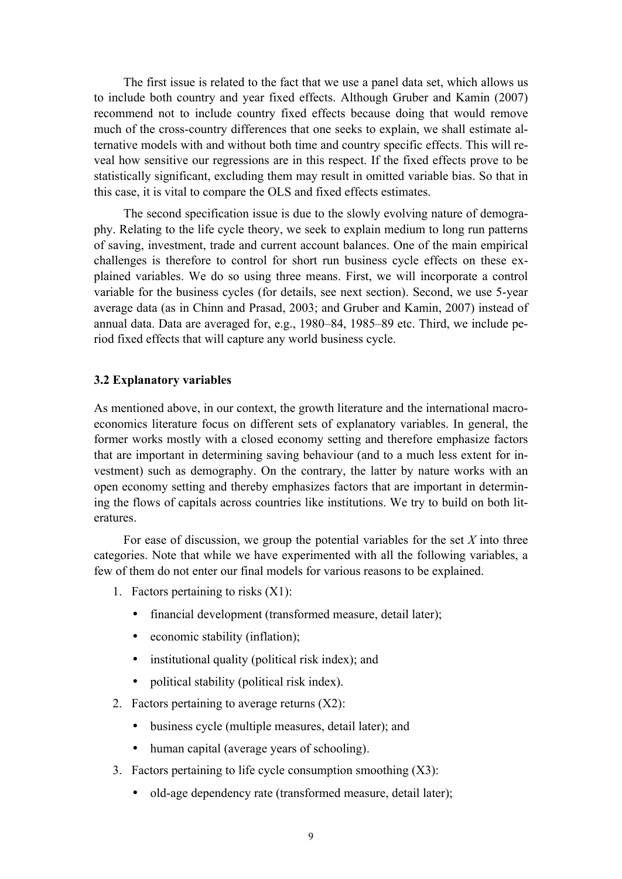The first issue is related to the fact that we use a panel data set, which allows us to include both country and year fixed effects. Although Gruber and Kamin (2007) recommend not to include country fixed effects because doing that would remove much of the cross-country differences that one seeks to explain, we shall estimate alternative models with and without both time and country specific effects. This will reveal how sensitive our regressions are in this respect. If the fixed effects prove to be statistically significant, excluding them may result in omitted variable bias. So that in this case, it is vital to compare the OLS and fixed effects estimates.

The second specification issue is due to the slowly evolving nature of demography. Relating to the life cycle theory, we seek to explain medium to long run patterns of saving, investment, trade and current account balances. One of the main empirical challenges is therefore to control for short run business cycle effects on these explained variables. We do so using three means. First, we will incorporate a control variable for the business cycles (for details, see next section). Second, we use 5-year average data (as in Chinn and Prasad, 2003; and Gruber and Kamin, 2007) instead of annual data. Data are averaged for, e.g., 1980–84, 1985–89 etc. Third, we include period fixed effects that will capture any world business cycle.

#### **3.2 Explanatory variables**

As mentioned above, in our context, the growth literature and the international macroeconomics literature focus on different sets of explanatory variables. In general, the former works mostly with a closed economy setting and therefore emphasize factors that are important in determining saving behaviour (and to a much less extent for investment) such as demography. On the contrary, the latter by nature works with an open economy setting and thereby emphasizes factors that are important in determining the flows of capitals across countries like institutions. We try to build on both literatures.

For ease of discussion, we group the potential variables for the set *X* into three categories. Note that while we have experimented with all the following variables, a few of them do not enter our final models for various reasons to be explained.

- 1. Factors pertaining to risks  $(X1)$ :
	- financial development (transformed measure, detail later);
	- economic stability (inflation);
	- institutional quality (political risk index); and
	- political stability (political risk index).
- 2. Factors pertaining to average returns (X2):
	- business cycle (multiple measures, detail later); and
	- human capital (average years of schooling).
- 3. Factors pertaining to life cycle consumption smoothing (X3):
	- old-age dependency rate (transformed measure, detail later);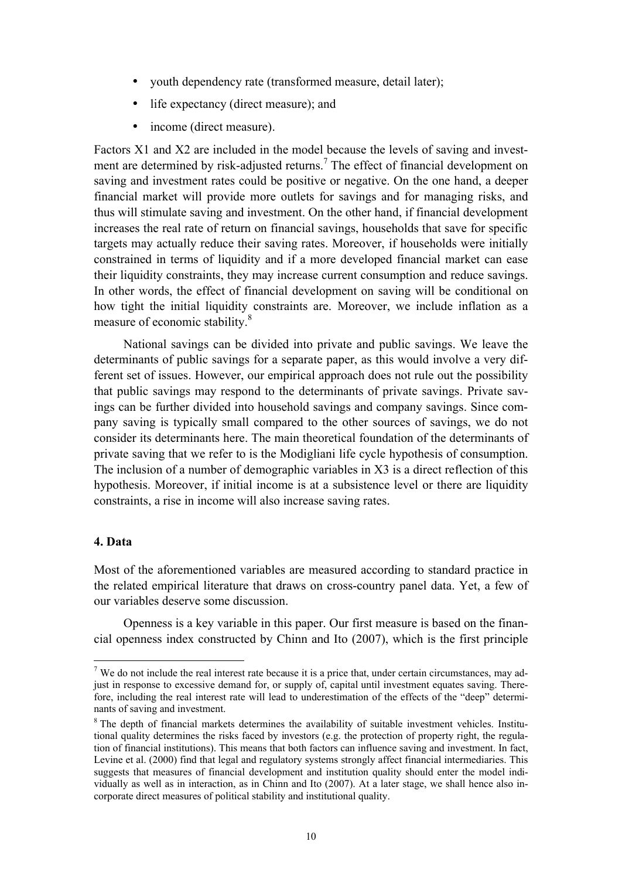- youth dependency rate (transformed measure, detail later);
- life expectancy (direct measure); and
- income (direct measure).

Factors X1 and X2 are included in the model because the levels of saving and investment are determined by risk-adjusted returns.<sup>7</sup> The effect of financial development on saving and investment rates could be positive or negative. On the one hand, a deeper financial market will provide more outlets for savings and for managing risks, and thus will stimulate saving and investment. On the other hand, if financial development increases the real rate of return on financial savings, households that save for specific targets may actually reduce their saving rates. Moreover, if households were initially constrained in terms of liquidity and if a more developed financial market can ease their liquidity constraints, they may increase current consumption and reduce savings. In other words, the effect of financial development on saving will be conditional on how tight the initial liquidity constraints are. Moreover, we include inflation as a measure of economic stability.<sup>8</sup>

National savings can be divided into private and public savings. We leave the determinants of public savings for a separate paper, as this would involve a very different set of issues. However, our empirical approach does not rule out the possibility that public savings may respond to the determinants of private savings. Private savings can be further divided into household savings and company savings. Since company saving is typically small compared to the other sources of savings, we do not consider its determinants here. The main theoretical foundation of the determinants of private saving that we refer to is the Modigliani life cycle hypothesis of consumption. The inclusion of a number of demographic variables in X3 is a direct reflection of this hypothesis. Moreover, if initial income is at a subsistence level or there are liquidity constraints, a rise in income will also increase saving rates.

#### **4. Data**

Most of the aforementioned variables are measured according to standard practice in the related empirical literature that draws on cross-country panel data. Yet, a few of our variables deserve some discussion.

Openness is a key variable in this paper. Our first measure is based on the financial openness index constructed by Chinn and Ito (2007), which is the first principle

<sup>&</sup>lt;sup>7</sup> We do not include the real interest rate because it is a price that, under certain circumstances, may adjust in response to excessive demand for, or supply of, capital until investment equates saving. Therefore, including the real interest rate will lead to underestimation of the effects of the "deep" determinants of saving and investment.

<sup>&</sup>lt;sup>8</sup> The depth of financial markets determines the availability of suitable investment vehicles. Institutional quality determines the risks faced by investors (e.g. the protection of property right, the regulation of financial institutions). This means that both factors can influence saving and investment. In fact, Levine et al. (2000) find that legal and regulatory systems strongly affect financial intermediaries. This suggests that measures of financial development and institution quality should enter the model individually as well as in interaction, as in Chinn and Ito (2007). At a later stage, we shall hence also incorporate direct measures of political stability and institutional quality.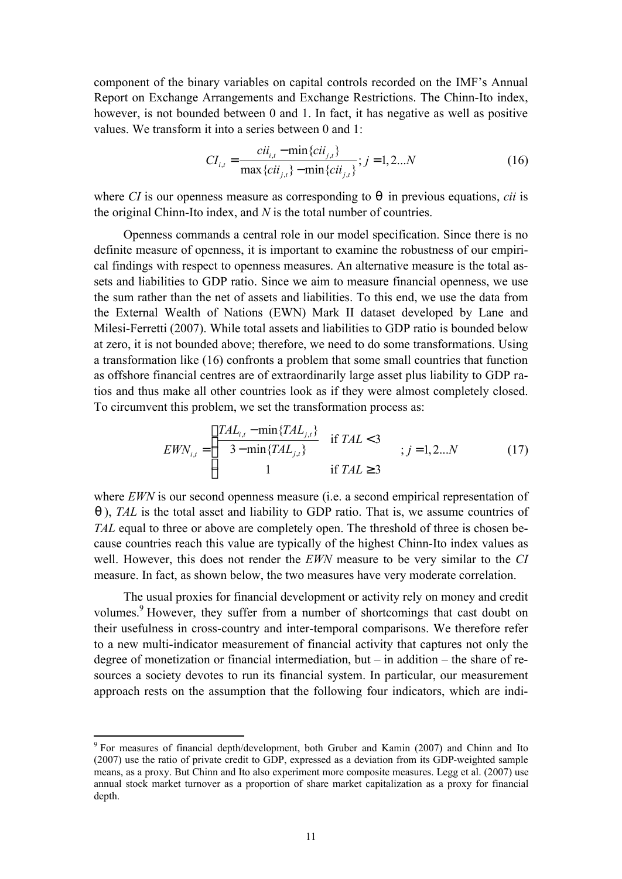component of the binary variables on capital controls recorded on the IMF's Annual Report on Exchange Arrangements and Exchange Restrictions. The Chinn-Ito index, however, is not bounded between 0 and 1. In fact, it has negative as well as positive values. We transform it into a series between 0 and 1:

$$
CI_{i,t} = \frac{cii_{i,t} - \min\{cii_{j,t}\}}{\max\{cii_{j,t}\} - \min\{cii_{j,t}\}}; j = 1, 2...N
$$
 (16)

where *CI* is our openness measure as corresponding to *q* in previous equations, *cii* is the original Chinn-Ito index, and *N* is the total number of countries.

Openness commands a central role in our model specification. Since there is no definite measure of openness, it is important to examine the robustness of our empirical findings with respect to openness measures. An alternative measure is the total assets and liabilities to GDP ratio. Since we aim to measure financial openness, we use the sum rather than the net of assets and liabilities. To this end, we use the data from the External Wealth of Nations (EWN) Mark II dataset developed by Lane and Milesi-Ferretti (2007). While total assets and liabilities to GDP ratio is bounded below at zero, it is not bounded above; therefore, we need to do some transformations. Using a transformation like (16) confronts a problem that some small countries that function as offshore financial centres are of extraordinarily large asset plus liability to GDP ratios and thus make all other countries look as if they were almost completely closed. To circumvent this problem, we set the transformation process as:

$$
EWN_{i,t} = \begin{cases} \frac{TAL_{i,t} - \min\{TAL_{j,t}\}}{3 - \min\{TAL_{j,t}\}} & \text{if } TAL < 3\\ 1 & \text{if } TAL \ge 3 \end{cases} ; j = 1, 2...N \tag{17}
$$

where *EWN* is our second openness measure (i.e. a second empirical representation of *q* ), *TAL* is the total asset and liability to GDP ratio. That is, we assume countries of *TAL* equal to three or above are completely open. The threshold of three is chosen because countries reach this value are typically of the highest Chinn-Ito index values as well. However, this does not render the *EWN* measure to be very similar to the *CI* measure. In fact, as shown below, the two measures have very moderate correlation.

The usual proxies for financial development or activity rely on money and credit volumes.<sup>9</sup> However, they suffer from a number of shortcomings that cast doubt on their usefulness in cross-country and inter-temporal comparisons. We therefore refer to a new multi-indicator measurement of financial activity that captures not only the degree of monetization or financial intermediation, but – in addition – the share of resources a society devotes to run its financial system. In particular, our measurement approach rests on the assumption that the following four indicators, which are indi-

<sup>&</sup>lt;sup>9</sup> For measures of financial depth/development, both Gruber and Kamin (2007) and Chinn and Ito (2007) use the ratio of private credit to GDP, expressed as a deviation from its GDP-weighted sample means, as a proxy. But Chinn and Ito also experiment more composite measures. Legg et al. (2007) use annual stock market turnover as a proportion of share market capitalization as a proxy for financial depth.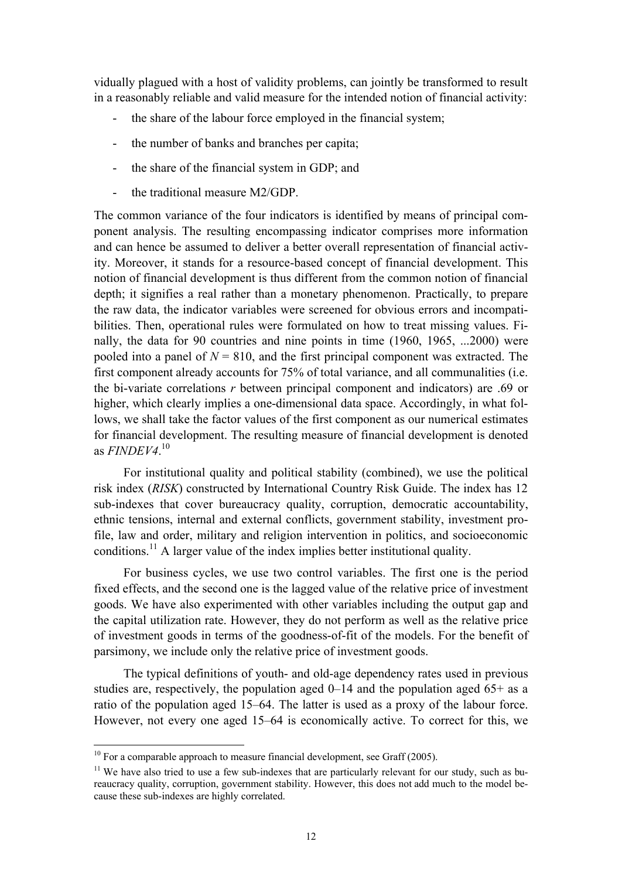vidually plagued with a host of validity problems, can jointly be transformed to result in a reasonably reliable and valid measure for the intended notion of financial activity:

- the share of the labour force employed in the financial system;
- the number of banks and branches per capita;
- the share of the financial system in GDP; and
- the traditional measure M2/GDP.

The common variance of the four indicators is identified by means of principal component analysis. The resulting encompassing indicator comprises more information and can hence be assumed to deliver a better overall representation of financial activity. Moreover, it stands for a resource-based concept of financial development. This notion of financial development is thus different from the common notion of financial depth; it signifies a real rather than a monetary phenomenon. Practically, to prepare the raw data, the indicator variables were screened for obvious errors and incompatibilities. Then, operational rules were formulated on how to treat missing values. Finally, the data for 90 countries and nine points in time (1960, 1965, ...2000) were pooled into a panel of  $N = 810$ , and the first principal component was extracted. The first component already accounts for 75% of total variance, and all communalities (i.e. the bi-variate correlations *r* between principal component and indicators) are .69 or higher, which clearly implies a one-dimensional data space. Accordingly, in what follows, we shall take the factor values of the first component as our numerical estimates for financial development. The resulting measure of financial development is denoted as *FINDEV4*. 10

For institutional quality and political stability (combined), we use the political risk index (*RISK*) constructed by International Country Risk Guide. The index has 12 sub-indexes that cover bureaucracy quality, corruption, democratic accountability, ethnic tensions, internal and external conflicts, government stability, investment profile, law and order, military and religion intervention in politics, and socioeconomic conditions.<sup>11</sup> A larger value of the index implies better institutional quality.

For business cycles, we use two control variables. The first one is the period fixed effects, and the second one is the lagged value of the relative price of investment goods. We have also experimented with other variables including the output gap and the capital utilization rate. However, they do not perform as well as the relative price of investment goods in terms of the goodness-of-fit of the models. For the benefit of parsimony, we include only the relative price of investment goods.

The typical definitions of youth- and old-age dependency rates used in previous studies are, respectively, the population aged 0–14 and the population aged 65+ as a ratio of the population aged 15–64. The latter is used as a proxy of the labour force. However, not every one aged 15–64 is economically active. To correct for this, we

 $10$  For a comparable approach to measure financial development, see Graff (2005).

 $11$  We have also tried to use a few sub-indexes that are particularly relevant for our study, such as bureaucracy quality, corruption, government stability. However, this does not add much to the model because these sub-indexes are highly correlated.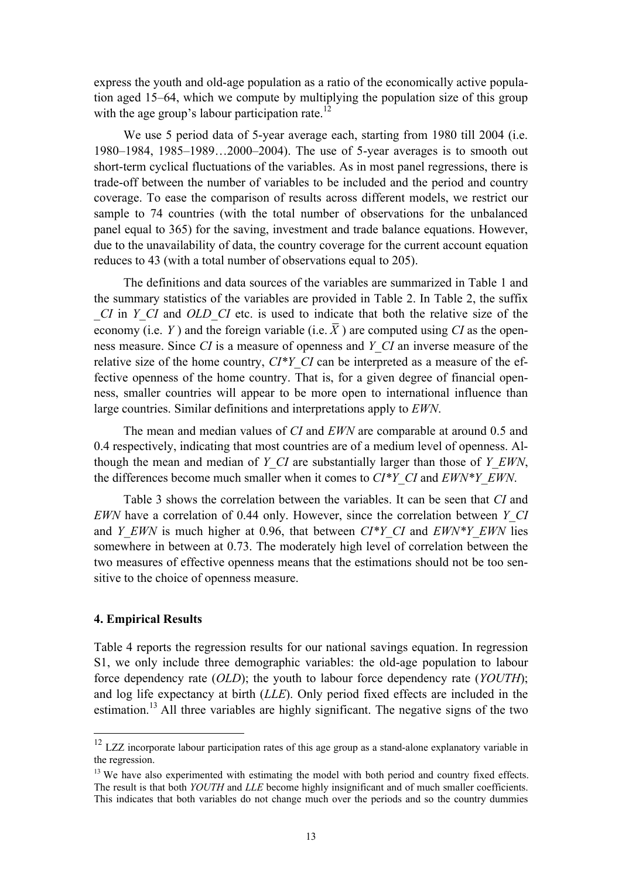express the youth and old-age population as a ratio of the economically active population aged 15–64, which we compute by multiplying the population size of this group with the age group's labour participation rate.<sup>12</sup>

We use 5 period data of 5-year average each, starting from 1980 till 2004 (i.e. 1980–1984, 1985–1989…2000–2004). The use of 5-year averages is to smooth out short-term cyclical fluctuations of the variables. As in most panel regressions, there is trade-off between the number of variables to be included and the period and country coverage. To ease the comparison of results across different models, we restrict our sample to 74 countries (with the total number of observations for the unbalanced panel equal to 365) for the saving, investment and trade balance equations. However, due to the unavailability of data, the country coverage for the current account equation reduces to 43 (with a total number of observations equal to 205).

The definitions and data sources of the variables are summarized in Table 1 and the summary statistics of the variables are provided in Table 2. In Table 2, the suffix *CI* in *Y\_CI* and *OLD\_CI* etc. is used to indicate that both the relative size of the economy (i.e. *Y*) and the foreign variable (i.e.  $\overline{X}$ ) are computed using *CI* as the openness measure. Since *CI* is a measure of openness and *Y\_CI* an inverse measure of the relative size of the home country,  $CI^*Y$  *CI* can be interpreted as a measure of the effective openness of the home country. That is, for a given degree of financial openness, smaller countries will appear to be more open to international influence than large countries. Similar definitions and interpretations apply to *EWN*.

The mean and median values of *CI* and *EWN* are comparable at around 0.5 and 0.4 respectively, indicating that most countries are of a medium level of openness. Although the mean and median of *Y\_CI* are substantially larger than those of *Y\_EWN*, the differences become much smaller when it comes to *CI\*Y\_CI* and *EWN\*Y\_EWN*.

Table 3 shows the correlation between the variables. It can be seen that *CI* and *EWN* have a correlation of 0.44 only. However, since the correlation between *Y\_CI* and *Y\_EWN* is much higher at 0.96, that between *CI\*Y\_CI* and *EWN\*Y\_EWN* lies somewhere in between at 0.73. The moderately high level of correlation between the two measures of effective openness means that the estimations should not be too sensitive to the choice of openness measure.

#### **4. Empirical Results**

 $\overline{a}$ 

Table 4 reports the regression results for our national savings equation. In regression S1, we only include three demographic variables: the old-age population to labour force dependency rate (*OLD*); the youth to labour force dependency rate (*YOUTH*); and log life expectancy at birth (*LLE*). Only period fixed effects are included in the estimation.<sup>13</sup> All three variables are highly significant. The negative signs of the two

 $12$  LZZ incorporate labour participation rates of this age group as a stand-alone explanatory variable in the regression.

<sup>&</sup>lt;sup>13</sup> We have also experimented with estimating the model with both period and country fixed effects. The result is that both *YOUTH* and *LLE* become highly insignificant and of much smaller coefficients. This indicates that both variables do not change much over the periods and so the country dummies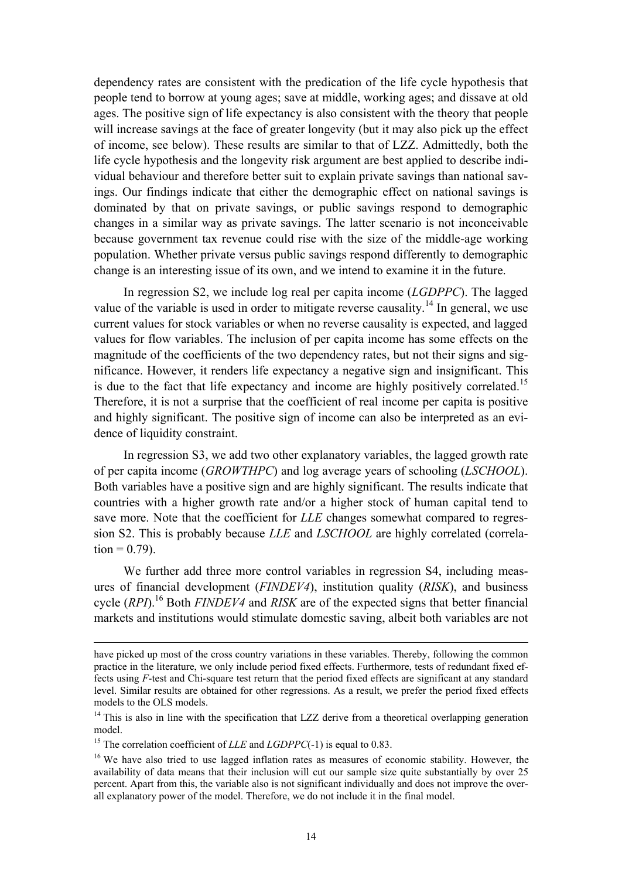dependency rates are consistent with the predication of the life cycle hypothesis that people tend to borrow at young ages; save at middle, working ages; and dissave at old ages. The positive sign of life expectancy is also consistent with the theory that people will increase savings at the face of greater longevity (but it may also pick up the effect of income, see below). These results are similar to that of LZZ. Admittedly, both the life cycle hypothesis and the longevity risk argument are best applied to describe individual behaviour and therefore better suit to explain private savings than national savings. Our findings indicate that either the demographic effect on national savings is dominated by that on private savings, or public savings respond to demographic changes in a similar way as private savings. The latter scenario is not inconceivable because government tax revenue could rise with the size of the middle-age working population. Whether private versus public savings respond differently to demographic change is an interesting issue of its own, and we intend to examine it in the future.

In regression S2, we include log real per capita income (*LGDPPC*). The lagged value of the variable is used in order to mitigate reverse causality.<sup>14</sup> In general, we use current values for stock variables or when no reverse causality is expected, and lagged values for flow variables. The inclusion of per capita income has some effects on the magnitude of the coefficients of the two dependency rates, but not their signs and significance. However, it renders life expectancy a negative sign and insignificant. This is due to the fact that life expectancy and income are highly positively correlated.<sup>15</sup> Therefore, it is not a surprise that the coefficient of real income per capita is positive and highly significant. The positive sign of income can also be interpreted as an evidence of liquidity constraint.

In regression S3, we add two other explanatory variables, the lagged growth rate of per capita income (*GROWTHPC*) and log average years of schooling (*LSCHOOL*). Both variables have a positive sign and are highly significant. The results indicate that countries with a higher growth rate and/or a higher stock of human capital tend to save more. Note that the coefficient for *LLE* changes somewhat compared to regression S2. This is probably because *LLE* and *LSCHOOL* are highly correlated (correla $tion = 0.79$ ).

We further add three more control variables in regression S4, including measures of financial development (*FINDEV4*), institution quality (*RISK*), and business cycle (*RPI*). <sup>16</sup> Both *FINDEV4* and *RISK* are of the expected signs that better financial markets and institutions would stimulate domestic saving, albeit both variables are not

1

have picked up most of the cross country variations in these variables. Thereby, following the common practice in the literature, we only include period fixed effects. Furthermore, tests of redundant fixed effects using *F*-test and Chi-square test return that the period fixed effects are significant at any standard level. Similar results are obtained for other regressions. As a result, we prefer the period fixed effects models to the OLS models.

<sup>&</sup>lt;sup>14</sup> This is also in line with the specification that LZZ derive from a theoretical overlapping generation model.

<sup>&</sup>lt;sup>15</sup> The correlation coefficient of *LLE* and *LGDPPC*(-1) is equal to 0.83.

<sup>&</sup>lt;sup>16</sup> We have also tried to use lagged inflation rates as measures of economic stability. However, the availability of data means that their inclusion will cut our sample size quite substantially by over 25 percent. Apart from this, the variable also is not significant individually and does not improve the overall explanatory power of the model. Therefore, we do not include it in the final model.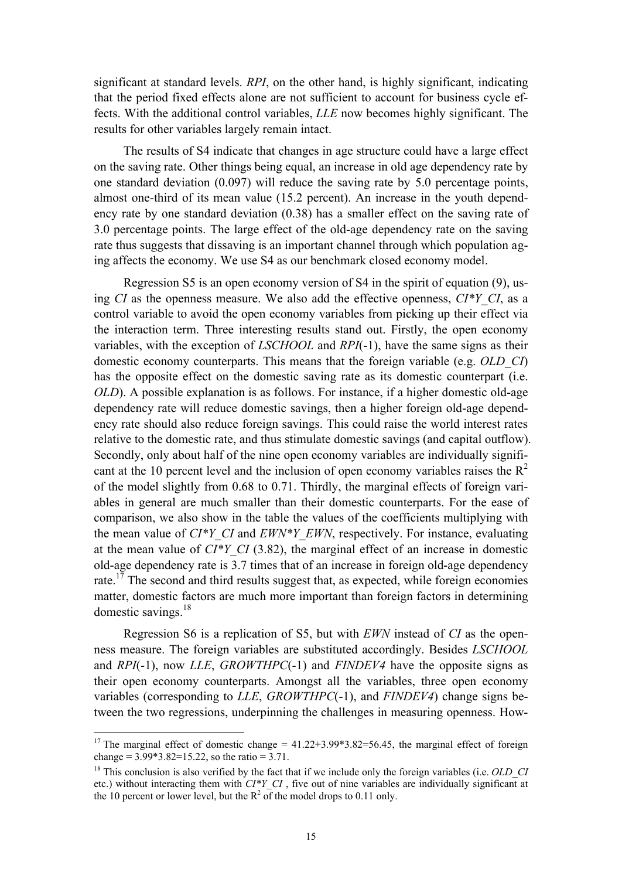significant at standard levels. *RPI*, on the other hand, is highly significant, indicating that the period fixed effects alone are not sufficient to account for business cycle effects. With the additional control variables, *LLE* now becomes highly significant. The results for other variables largely remain intact.

The results of S4 indicate that changes in age structure could have a large effect on the saving rate. Other things being equal, an increase in old age dependency rate by one standard deviation (0.097) will reduce the saving rate by 5.0 percentage points, almost one-third of its mean value (15.2 percent). An increase in the youth dependency rate by one standard deviation (0.38) has a smaller effect on the saving rate of 3.0 percentage points. The large effect of the old-age dependency rate on the saving rate thus suggests that dissaving is an important channel through which population aging affects the economy. We use S4 as our benchmark closed economy model.

Regression S5 is an open economy version of S4 in the spirit of equation (9), using *CI* as the openness measure. We also add the effective openness, *CI\*Y\_CI*, as a control variable to avoid the open economy variables from picking up their effect via the interaction term. Three interesting results stand out. Firstly, the open economy variables, with the exception of *LSCHOOL* and *RPI*(-1), have the same signs as their domestic economy counterparts. This means that the foreign variable (e.g. *OLD\_CI*) has the opposite effect on the domestic saving rate as its domestic counterpart (i.e. *OLD*). A possible explanation is as follows. For instance, if a higher domestic old-age dependency rate will reduce domestic savings, then a higher foreign old-age dependency rate should also reduce foreign savings. This could raise the world interest rates relative to the domestic rate, and thus stimulate domestic savings (and capital outflow). Secondly, only about half of the nine open economy variables are individually significant at the 10 percent level and the inclusion of open economy variables raises the  $R^2$ of the model slightly from 0.68 to 0.71. Thirdly, the marginal effects of foreign variables in general are much smaller than their domestic counterparts. For the ease of comparison, we also show in the table the values of the coefficients multiplying with the mean value of *CI<sup>\*Y</sup> CI* and *EWN<sup>\*Y</sup> EWN*, respectively. For instance, evaluating at the mean value of  $CI^*YCI$  (3.82), the marginal effect of an increase in domestic old-age dependency rate is 3.7 times that of an increase in foreign old-age dependency rate.<sup>17</sup> The second and third results suggest that, as expected, while foreign economies matter, domestic factors are much more important than foreign factors in determining domestic savings.<sup>18</sup>

Regression S6 is a replication of S5, but with *EWN* instead of *CI* as the openness measure. The foreign variables are substituted accordingly. Besides *LSCHOOL* and *RPI*(-1), now *LLE*, *GROWTHPC*(-1) and *FINDEV4* have the opposite signs as their open economy counterparts. Amongst all the variables, three open economy variables (corresponding to *LLE*, *GROWTHPC*(-1), and *FINDEV4*) change signs between the two regressions, underpinning the challenges in measuring openness. How-

<sup>&</sup>lt;sup>17</sup> The marginal effect of domestic change =  $41.22+3.99*3.82=56.45$ , the marginal effect of foreign change =  $3.99*3.82=15.22$ , so the ratio =  $3.71$ .

<sup>&</sup>lt;sup>18</sup> This conclusion is also verified by the fact that if we include only the foreign variables (i.e. *OLD CI* etc.) without interacting them with *CI<sup>\*Y</sup> CI*, five out of nine variables are individually significant at the 10 percent or lower level, but the  $R^2$  of the model drops to 0.11 only.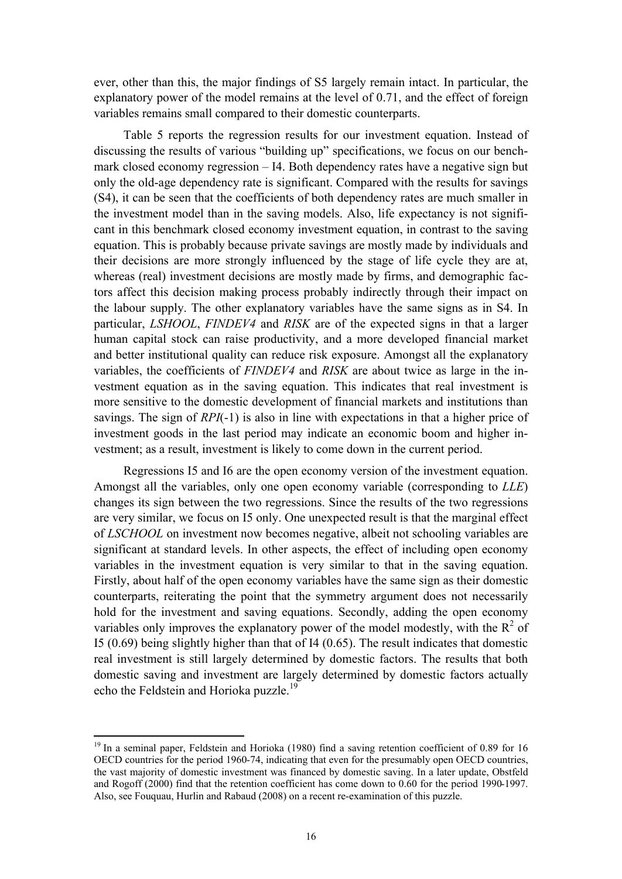ever, other than this, the major findings of S5 largely remain intact. In particular, the explanatory power of the model remains at the level of 0.71, and the effect of foreign variables remains small compared to their domestic counterparts.

Table 5 reports the regression results for our investment equation. Instead of discussing the results of various "building up" specifications, we focus on our benchmark closed economy regression – I4. Both dependency rates have a negative sign but only the old-age dependency rate is significant. Compared with the results for savings (S4), it can be seen that the coefficients of both dependency rates are much smaller in the investment model than in the saving models. Also, life expectancy is not significant in this benchmark closed economy investment equation, in contrast to the saving equation. This is probably because private savings are mostly made by individuals and their decisions are more strongly influenced by the stage of life cycle they are at, whereas (real) investment decisions are mostly made by firms, and demographic factors affect this decision making process probably indirectly through their impact on the labour supply. The other explanatory variables have the same signs as in S4. In particular, *LSHOOL*, *FINDEV4* and *RISK* are of the expected signs in that a larger human capital stock can raise productivity, and a more developed financial market and better institutional quality can reduce risk exposure. Amongst all the explanatory variables, the coefficients of *FINDEV4* and *RISK* are about twice as large in the investment equation as in the saving equation. This indicates that real investment is more sensitive to the domestic development of financial markets and institutions than savings. The sign of *RPI*(-1) is also in line with expectations in that a higher price of investment goods in the last period may indicate an economic boom and higher investment; as a result, investment is likely to come down in the current period.

Regressions I5 and I6 are the open economy version of the investment equation. Amongst all the variables, only one open economy variable (corresponding to *LLE*) changes its sign between the two regressions. Since the results of the two regressions are very similar, we focus on I5 only. One unexpected result is that the marginal effect of *LSCHOOL* on investment now becomes negative, albeit not schooling variables are significant at standard levels. In other aspects, the effect of including open economy variables in the investment equation is very similar to that in the saving equation. Firstly, about half of the open economy variables have the same sign as their domestic counterparts, reiterating the point that the symmetry argument does not necessarily hold for the investment and saving equations. Secondly, adding the open economy variables only improves the explanatory power of the model modestly, with the  $R^2$  of I5 (0.69) being slightly higher than that of I4 (0.65). The result indicates that domestic real investment is still largely determined by domestic factors. The results that both domestic saving and investment are largely determined by domestic factors actually echo the Feldstein and Horioka puzzle.<sup>19</sup>

<sup>&</sup>lt;sup>19</sup> In a seminal paper, Feldstein and Horioka (1980) find a saving retention coefficient of 0.89 for 16 OECD countries for the period 1960-74, indicating that even for the presumably open OECD countries, the vast majority of domestic investment was financed by domestic saving. In a later update, Obstfeld and Rogoff (2000) find that the retention coefficient has come down to 0.60 for the period 1990-1997. Also, see Fouquau, Hurlin and Rabaud (2008) on a recent re-examination of this puzzle.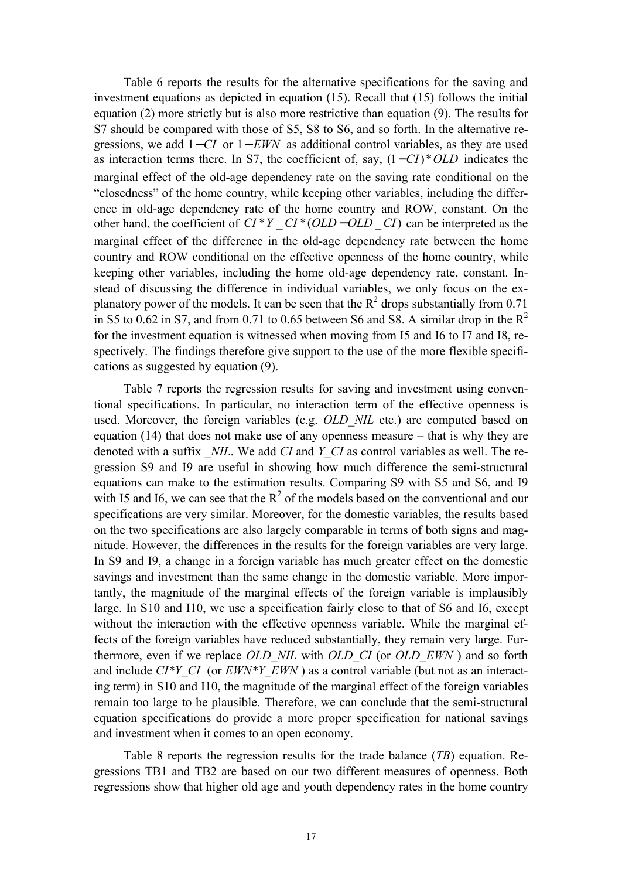Table 6 reports the results for the alternative specifications for the saving and investment equations as depicted in equation (15). Recall that (15) follows the initial equation (2) more strictly but is also more restrictive than equation (9). The results for S7 should be compared with those of S5, S8 to S6, and so forth. In the alternative regressions, we add 1−*CI* or 1− *EWN* as additional control variables, as they are used as interaction terms there. In S7, the coefficient of, say, (1−*CI*)\**OLD* indicates the marginal effect of the old-age dependency rate on the saving rate conditional on the "closedness" of the home country, while keeping other variables, including the difference in old-age dependency rate of the home country and ROW, constant. On the other hand, the coefficient of *CI* \**Y* \_*CI* \*(*OLD* −*OLD* \_*CI*) can be interpreted as the marginal effect of the difference in the old-age dependency rate between the home country and ROW conditional on the effective openness of the home country, while keeping other variables, including the home old-age dependency rate, constant. Instead of discussing the difference in individual variables, we only focus on the explanatory power of the models. It can be seen that the  $R^2$  drops substantially from 0.71 in S5 to 0.62 in S7, and from 0.71 to 0.65 between S6 and S8. A similar drop in the  $\mathbb{R}^2$ for the investment equation is witnessed when moving from I5 and I6 to I7 and I8, respectively. The findings therefore give support to the use of the more flexible specifications as suggested by equation (9).

Table 7 reports the regression results for saving and investment using conventional specifications. In particular, no interaction term of the effective openness is used. Moreover, the foreign variables (e.g. *OLD NIL* etc.) are computed based on equation (14) that does not make use of any openness measure – that is why they are denoted with a suffix \_*NIL*. We add *CI* and *Y\_CI* as control variables as well. The regression S9 and I9 are useful in showing how much difference the semi-structural equations can make to the estimation results. Comparing S9 with S5 and S6, and I9 with I5 and I6, we can see that the  $R^2$  of the models based on the conventional and our specifications are very similar. Moreover, for the domestic variables, the results based on the two specifications are also largely comparable in terms of both signs and magnitude. However, the differences in the results for the foreign variables are very large. In S9 and I9, a change in a foreign variable has much greater effect on the domestic savings and investment than the same change in the domestic variable. More importantly, the magnitude of the marginal effects of the foreign variable is implausibly large. In S10 and I10, we use a specification fairly close to that of S6 and I6, except without the interaction with the effective openness variable. While the marginal effects of the foreign variables have reduced substantially, they remain very large. Furthermore, even if we replace *OLD\_NIL* with *OLD\_CI* (or *OLD\_EWN* ) and so forth and include *CI<sup>\*Y</sup> CI* (or *EWN<sup>\*</sup>Y EWN* ) as a control variable (but not as an interacting term) in S10 and I10, the magnitude of the marginal effect of the foreign variables remain too large to be plausible. Therefore, we can conclude that the semi-structural equation specifications do provide a more proper specification for national savings and investment when it comes to an open economy.

Table 8 reports the regression results for the trade balance (*TB*) equation. Regressions TB1 and TB2 are based on our two different measures of openness. Both regressions show that higher old age and youth dependency rates in the home country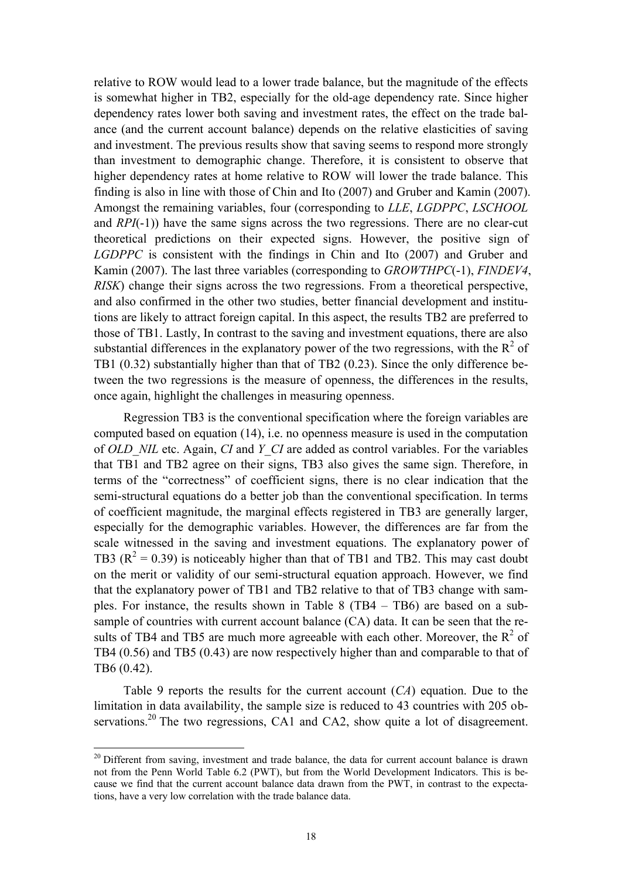relative to ROW would lead to a lower trade balance, but the magnitude of the effects is somewhat higher in TB2, especially for the old-age dependency rate. Since higher dependency rates lower both saving and investment rates, the effect on the trade balance (and the current account balance) depends on the relative elasticities of saving and investment. The previous results show that saving seems to respond more strongly than investment to demographic change. Therefore, it is consistent to observe that higher dependency rates at home relative to ROW will lower the trade balance. This finding is also in line with those of Chin and Ito (2007) and Gruber and Kamin (2007). Amongst the remaining variables, four (corresponding to *LLE*, *LGDPPC*, *LSCHOOL* and *RPI*(-1)) have the same signs across the two regressions. There are no clear-cut theoretical predictions on their expected signs. However, the positive sign of *LGDPPC* is consistent with the findings in Chin and Ito (2007) and Gruber and Kamin (2007). The last three variables (corresponding to *GROWTHPC*(-1), *FINDEV4*, *RISK*) change their signs across the two regressions. From a theoretical perspective, and also confirmed in the other two studies, better financial development and institutions are likely to attract foreign capital. In this aspect, the results TB2 are preferred to those of TB1. Lastly, In contrast to the saving and investment equations, there are also substantial differences in the explanatory power of the two regressions, with the  $R^2$  of TB1 (0.32) substantially higher than that of TB2 (0.23). Since the only difference between the two regressions is the measure of openness, the differences in the results, once again, highlight the challenges in measuring openness.

Regression TB3 is the conventional specification where the foreign variables are computed based on equation (14), i.e. no openness measure is used in the computation of *OLD\_NIL* etc. Again, *CI* and *Y\_CI* are added as control variables. For the variables that TB1 and TB2 agree on their signs, TB3 also gives the same sign. Therefore, in terms of the "correctness" of coefficient signs, there is no clear indication that the semi-structural equations do a better job than the conventional specification. In terms of coefficient magnitude, the marginal effects registered in TB3 are generally larger, especially for the demographic variables. However, the differences are far from the scale witnessed in the saving and investment equations. The explanatory power of TB3 ( $\mathbb{R}^2 = 0.39$ ) is noticeably higher than that of TB1 and TB2. This may cast doubt on the merit or validity of our semi-structural equation approach. However, we find that the explanatory power of TB1 and TB2 relative to that of TB3 change with samples. For instance, the results shown in Table 8 (TB4 – TB6) are based on a subsample of countries with current account balance (CA) data. It can be seen that the results of TB4 and TB5 are much more agreeable with each other. Moreover, the  $R^2$  of TB4 (0.56) and TB5 (0.43) are now respectively higher than and comparable to that of TB6 (0.42).

Table 9 reports the results for the current account (*CA*) equation. Due to the limitation in data availability, the sample size is reduced to 43 countries with 205 observations.<sup>20</sup> The two regressions, CA1 and CA2, show quite a lot of disagreement.

<sup>&</sup>lt;sup>20</sup> Different from saving, investment and trade balance, the data for current account balance is drawn not from the Penn World Table 6.2 (PWT), but from the World Development Indicators. This is because we find that the current account balance data drawn from the PWT, in contrast to the expectations, have a very low correlation with the trade balance data.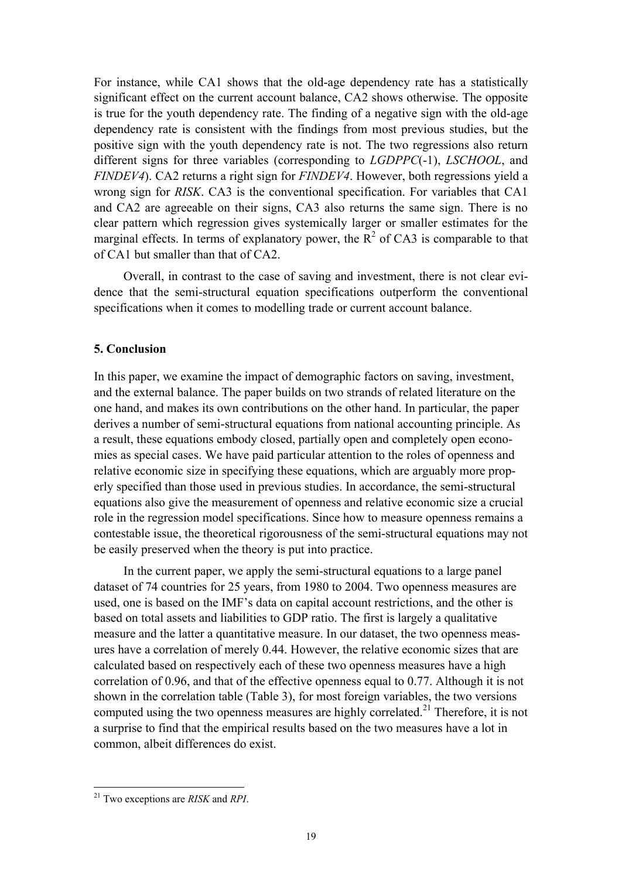For instance, while CA1 shows that the old-age dependency rate has a statistically significant effect on the current account balance, CA2 shows otherwise. The opposite is true for the youth dependency rate. The finding of a negative sign with the old-age dependency rate is consistent with the findings from most previous studies, but the positive sign with the youth dependency rate is not. The two regressions also return different signs for three variables (corresponding to *LGDPPC*(-1), *LSCHOOL*, and *FINDEV4*). CA2 returns a right sign for *FINDEV4*. However, both regressions yield a wrong sign for *RISK*. CA3 is the conventional specification. For variables that CA1 and CA2 are agreeable on their signs, CA3 also returns the same sign. There is no clear pattern which regression gives systemically larger or smaller estimates for the marginal effects. In terms of explanatory power, the  $R^2$  of CA3 is comparable to that of CA1 but smaller than that of CA2.

Overall, in contrast to the case of saving and investment, there is not clear evidence that the semi-structural equation specifications outperform the conventional specifications when it comes to modelling trade or current account balance.

#### **5. Conclusion**

In this paper, we examine the impact of demographic factors on saving, investment, and the external balance. The paper builds on two strands of related literature on the one hand, and makes its own contributions on the other hand. In particular, the paper derives a number of semi-structural equations from national accounting principle. As a result, these equations embody closed, partially open and completely open economies as special cases. We have paid particular attention to the roles of openness and relative economic size in specifying these equations, which are arguably more properly specified than those used in previous studies. In accordance, the semi-structural equations also give the measurement of openness and relative economic size a crucial role in the regression model specifications. Since how to measure openness remains a contestable issue, the theoretical rigorousness of the semi-structural equations may not be easily preserved when the theory is put into practice.

In the current paper, we apply the semi-structural equations to a large panel dataset of 74 countries for 25 years, from 1980 to 2004. Two openness measures are used, one is based on the IMF's data on capital account restrictions, and the other is based on total assets and liabilities to GDP ratio. The first is largely a qualitative measure and the latter a quantitative measure. In our dataset, the two openness measures have a correlation of merely 0.44. However, the relative economic sizes that are calculated based on respectively each of these two openness measures have a high correlation of 0.96, and that of the effective openness equal to 0.77. Although it is not shown in the correlation table (Table 3), for most foreign variables, the two versions computed using the two openness measures are highly correlated.<sup>21</sup> Therefore, it is not a surprise to find that the empirical results based on the two measures have a lot in common, albeit differences do exist.

<sup>21</sup> Two exceptions are *RISK* and *RPI*.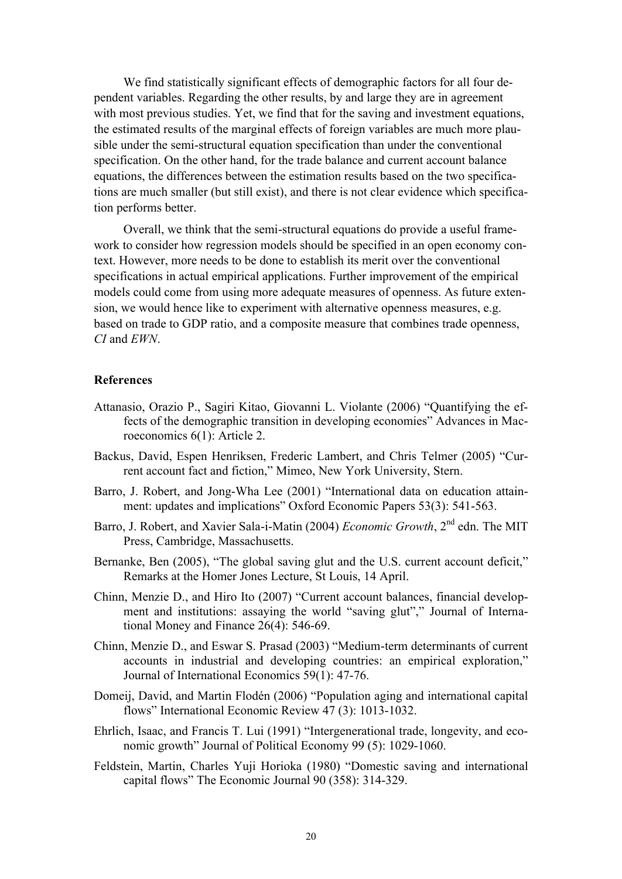We find statistically significant effects of demographic factors for all four dependent variables. Regarding the other results, by and large they are in agreement with most previous studies. Yet, we find that for the saving and investment equations, the estimated results of the marginal effects of foreign variables are much more plausible under the semi-structural equation specification than under the conventional specification. On the other hand, for the trade balance and current account balance equations, the differences between the estimation results based on the two specifications are much smaller (but still exist), and there is not clear evidence which specification performs better.

Overall, we think that the semi-structural equations do provide a useful framework to consider how regression models should be specified in an open economy context. However, more needs to be done to establish its merit over the conventional specifications in actual empirical applications. Further improvement of the empirical models could come from using more adequate measures of openness. As future extension, we would hence like to experiment with alternative openness measures, e.g. based on trade to GDP ratio, and a composite measure that combines trade openness, *CI* and *EWN*.

#### **References**

- Attanasio, Orazio P., Sagiri Kitao, Giovanni L. Violante (2006) "Quantifying the effects of the demographic transition in developing economies" Advances in Macroeconomics 6(1): Article 2.
- Backus, David, Espen Henriksen, Frederic Lambert, and Chris Telmer (2005) "Current account fact and fiction," Mimeo, New York University, Stern.
- Barro, J. Robert, and Jong-Wha Lee (2001) "International data on education attainment: updates and implications" Oxford Economic Papers 53(3): 541-563.
- Barro, J. Robert, and Xavier Sala-i-Matin (2004) *Economic Growth*, 2nd edn. The MIT Press, Cambridge, Massachusetts.
- Bernanke, Ben (2005), "The global saving glut and the U.S. current account deficit," Remarks at the Homer Jones Lecture, St Louis, 14 April.
- Chinn, Menzie D., and Hiro Ito (2007) "Current account balances, financial development and institutions: assaying the world "saving glut"," Journal of International Money and Finance 26(4): 546-69.
- Chinn, Menzie D., and Eswar S. Prasad (2003) "Medium-term determinants of current accounts in industrial and developing countries: an empirical exploration," Journal of International Economics 59(1): 47-76.
- Domeij, David, and Martin Flodén (2006) "Population aging and international capital flows" International Economic Review 47 (3): 1013-1032.
- Ehrlich, Isaac, and Francis T. Lui (1991) "Intergenerational trade, longevity, and economic growth" Journal of Political Economy 99 (5): 1029-1060.
- Feldstein, Martin, Charles Yuji Horioka (1980) "Domestic saving and international capital flows" The Economic Journal 90 (358): 314-329.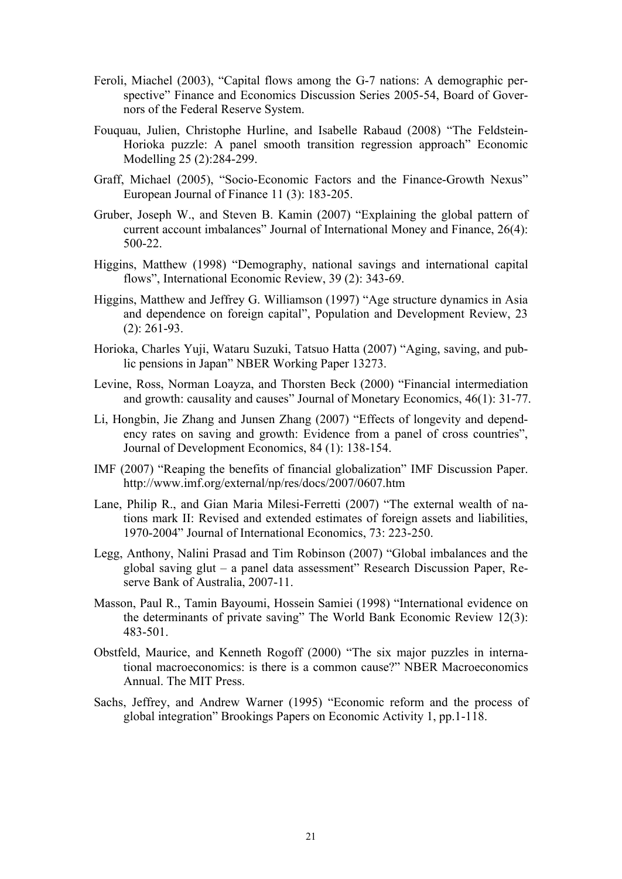- Feroli, Miachel (2003), "Capital flows among the G-7 nations: A demographic perspective" Finance and Economics Discussion Series 2005-54, Board of Governors of the Federal Reserve System.
- Fouquau, Julien, Christophe Hurline, and Isabelle Rabaud (2008) "The Feldstein-Horioka puzzle: A panel smooth transition regression approach" Economic Modelling 25 (2):284-299.
- Graff, Michael (2005), "Socio-Economic Factors and the Finance-Growth Nexus" European Journal of Finance 11 (3): 183-205.
- Gruber, Joseph W., and Steven B. Kamin (2007) "Explaining the global pattern of current account imbalances" Journal of International Money and Finance, 26(4): 500-22.
- Higgins, Matthew (1998) "Demography, national savings and international capital flows", International Economic Review, 39 (2): 343-69.
- Higgins, Matthew and Jeffrey G. Williamson (1997) "Age structure dynamics in Asia and dependence on foreign capital", Population and Development Review, 23 (2): 261-93.
- Horioka, Charles Yuji, Wataru Suzuki, Tatsuo Hatta (2007) "Aging, saving, and public pensions in Japan" NBER Working Paper 13273.
- Levine, Ross, Norman Loayza, and Thorsten Beck (2000) "Financial intermediation and growth: causality and causes" Journal of Monetary Economics, 46(1): 31-77.
- Li, Hongbin, Jie Zhang and Junsen Zhang (2007) "Effects of longevity and dependency rates on saving and growth: Evidence from a panel of cross countries", Journal of Development Economics, 84 (1): 138-154.
- IMF (2007) "Reaping the benefits of financial globalization" IMF Discussion Paper. http://www.imf.org/external/np/res/docs/2007/0607.htm
- Lane, Philip R., and Gian Maria Milesi-Ferretti (2007) "The external wealth of nations mark II: Revised and extended estimates of foreign assets and liabilities, 1970-2004" Journal of International Economics, 73: 223-250.
- Legg, Anthony, Nalini Prasad and Tim Robinson (2007) "Global imbalances and the global saving glut – a panel data assessment" Research Discussion Paper, Reserve Bank of Australia, 2007-11.
- Masson, Paul R., Tamin Bayoumi, Hossein Samiei (1998) "International evidence on the determinants of private saving" The World Bank Economic Review 12(3): 483-501.
- Obstfeld, Maurice, and Kenneth Rogoff (2000) "The six major puzzles in international macroeconomics: is there is a common cause?" NBER Macroeconomics Annual. The MIT Press.
- Sachs, Jeffrey, and Andrew Warner (1995) "Economic reform and the process of global integration" Brookings Papers on Economic Activity 1, pp.1-118.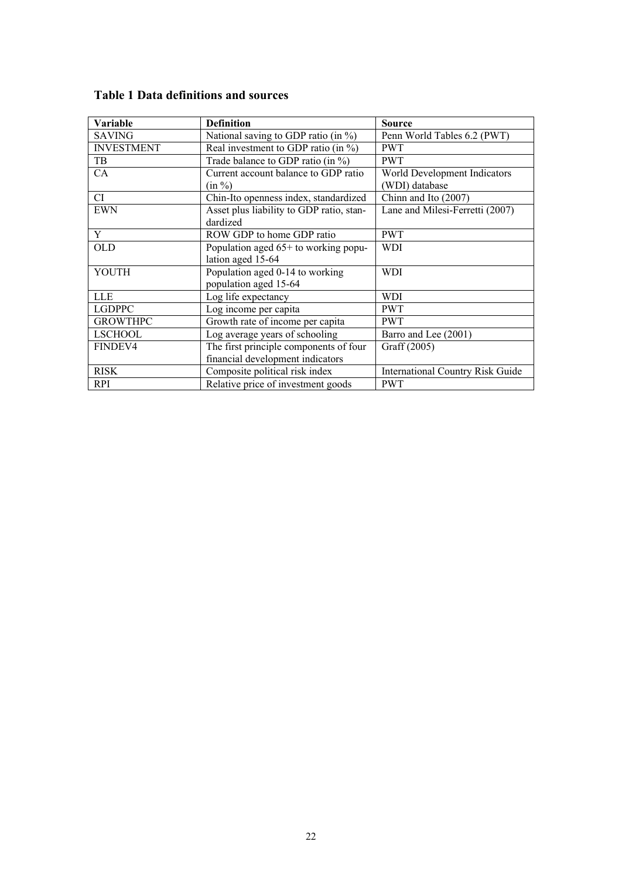| Variable          | <b>Definition</b>                        | <b>Source</b>                           |
|-------------------|------------------------------------------|-----------------------------------------|
| <b>SAVING</b>     | National saving to GDP ratio (in %)      | Penn World Tables 6.2 (PWT)             |
| <b>INVESTMENT</b> | Real investment to GDP ratio (in %)      | <b>PWT</b>                              |
| TB                | Trade balance to GDP ratio (in %)        | <b>PWT</b>                              |
| CA                | Current account balance to GDP ratio     | World Development Indicators            |
|                   | (in %)                                   | (WDI) database                          |
| CI                | Chin-Ito openness index, standardized    | Chinn and Ito (2007)                    |
| <b>EWN</b>        | Asset plus liability to GDP ratio, stan- | Lane and Milesi-Ferretti (2007)         |
|                   | dardized                                 |                                         |
| Y                 | ROW GDP to home GDP ratio                | <b>PWT</b>                              |
| <b>OLD</b>        | Population aged 65+ to working popu-     | <b>WDI</b>                              |
|                   | lation aged 15-64                        |                                         |
| YOUTH             | Population aged 0-14 to working          | WDI                                     |
|                   | population aged 15-64                    |                                         |
| <b>LLE</b>        | Log life expectancy                      | WDI                                     |
| <b>LGDPPC</b>     | Log income per capita                    | <b>PWT</b>                              |
| <b>GROWTHPC</b>   | Growth rate of income per capita         | <b>PWT</b>                              |
| <b>LSCHOOL</b>    | Log average years of schooling           | Barro and Lee (2001)                    |
| FINDEV4           | The first principle components of four   | Graff (2005)                            |
|                   | financial development indicators         |                                         |
| <b>RISK</b>       | Composite political risk index           | <b>International Country Risk Guide</b> |
| <b>RPI</b>        | Relative price of investment goods       | <b>PWT</b>                              |

### **Table 1 Data definitions and sources**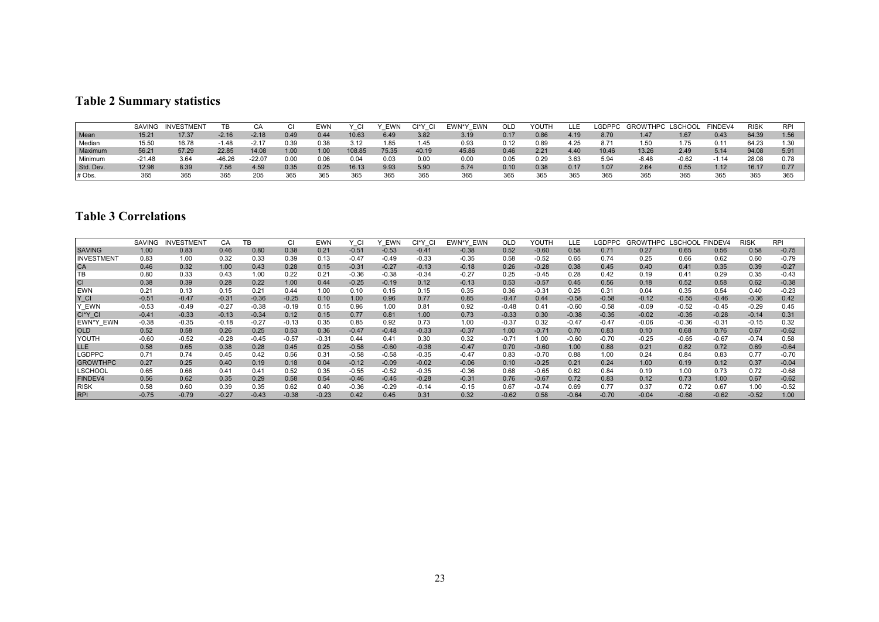# **Table 2 Summary statistics**

|          | <b>SAVING</b> | <b>INVESTMENT</b> |         |          | ັ    | <b>EWN</b> | ′ C.   | EWN   | ∩∗v<br>. س | EWN*\<br>EWN | OLD  | YOUTH | LLE  | LGDPPC | <b>GROWTHPC</b> | <b>LSCHOOL</b> | FINDEV4 | <b>RISK</b> | <b>RPI</b> |
|----------|---------------|-------------------|---------|----------|------|------------|--------|-------|------------|--------------|------|-------|------|--------|-----------------|----------------|---------|-------------|------------|
| Mean     | 15.21         | 17.37             | $-2.16$ | $-2.18$  | 0.49 | 0.44       | 10.63  | 6.49  | 3.82       | 3.19         | 0.17 | 0.86  | 4.19 | 8.70   | 1.47            | 1.67           | 0.43    | 64.39       | 1.56       |
| Median   | 15.50         | 16.78             | -1.48   | $-2.17$  | 0.39 | 0.38       | 3.12   | 1.85  | .45        | 0.93         | 0.12 | 0.89  | 4.25 | 8.7'   | 1.5C            |                | 0.11    | 64.23       | 1.30       |
| Maximum  | 56.21         | 57.29             | 22.85   | 14.08    | 1.00 | 1.00       | 108.85 | 75.35 | 40.19      | 45.86        | 0.46 | 2.21  | 4.40 | 10.46  | 13.26           | 2.49           | 5.14    | 94.08       | 5.91       |
| Minimum  | $-21.48$      | 3.64              | -46.26  | $-22.07$ | 0.00 | 0.06       | 0.04   | 0.03  | 0.00       | 0.00         | 0.05 | 0.29  | 3.63 | 5.94   | $-8.48$         | $-0.62$        | $-1.14$ | 28.08       | 0.78       |
| Std. Dev | 12.98         | 8.39              | 7.56    | 4.59     | 0.35 | 0.25       | 16.13  | 9.93  | 5.90       | 5.74         | 0.10 | 0.38  | 0.17 | 1.07   | 2.64            | 0.55           | 1.12    | 16.17       | 0.77       |
| # Obs    | 365           | 365               | 365     | 205      | 365  | 365        | 365    | 365   | 365        | 365          | 365  | 365   | 365  | 365    | 365             | 365            | 365     | 365         | 365        |

### **Table 3 Correlations**

|                   | SAVING  | <b>INVESTMENT</b> | CA      | TB      | <b>CI</b> | <b>EWN</b> | Y CI    | EWN     | CI*Y CI | EWN*Y EWN | <b>OLD</b> | YOUTH   | LLE     |         | LGDPPC GROWTHPC LSCHOOL |         | FINDEV4 | <b>RISK</b> | <b>RPI</b> |
|-------------------|---------|-------------------|---------|---------|-----------|------------|---------|---------|---------|-----------|------------|---------|---------|---------|-------------------------|---------|---------|-------------|------------|
| <b>SAVING</b>     | 1.00    | 0.83              | 0.46    | 0.80    | 0.38      | 0.21       | $-0.51$ | $-0.53$ | $-0.41$ | $-0.38$   | 0.52       | $-0.60$ | 0.58    | 0.71    | 0.27                    | 0.65    | 0.56    | 0.58        | $-0.75$    |
| <b>INVESTMENT</b> | 0.83    | 1.00              | 0.32    | 0.33    | 0.39      | 0.13       | $-0.47$ | $-0.49$ | $-0.33$ | $-0.35$   | 0.58       | $-0.52$ | 0.65    | 0.74    | 0.25                    | 0.66    | 0.62    | 0.60        | $-0.79$    |
| <b>CA</b>         | 0.46    | 0.32              | 1.00    | 0.43    | 0.28      | 0.15       | $-0.31$ | $-0.27$ | $-0.13$ | $-0.18$   | 0.26       | $-0.28$ | 0.38    | 0.45    | 0.40                    | 0.41    | 0.35    | 0.39        | $-0.27$    |
| TB                | 0.80    | 0.33              | 0.43    | 1.00    | 0.22      | 0.21       | $-0.36$ | $-0.38$ | $-0.34$ | $-0.27$   | 0.25       | $-0.45$ | 0.28    | 0.42    | 0.19                    | 0.41    | 0.29    | 0.35        | $-0.43$    |
| <b>CI</b>         | 0.38    | 0.39              | 0.28    | 0.22    | 1.00      | 0.44       | $-0.25$ | $-0.19$ | 0.12    | $-0.13$   | 0.53       | $-0.57$ | 0.45    | 0.56    | 0.18                    | 0.52    | 0.58    | 0.62        | $-0.38$    |
| <b>EWN</b>        | 0.21    | 0.13              | 0.15    | 0.21    | 0.44      | 1.00       | 0.10    | 0.15    | 0.15    | 0.35      | 0.36       | $-0.31$ | 0.25    | 0.31    | 0.04                    | 0.35    | 0.54    | 0.40        | $-0.23$    |
| $Y_C$ cl          | $-0.51$ | $-0.47$           | $-0.31$ | $-0.36$ | $-0.25$   | 0.10       | 1.00    | 0.96    | 0.77    | 0.85      | $-0.47$    | 0.44    | $-0.58$ | $-0.58$ | $-0.12$                 | $-0.55$ | $-0.46$ | $-0.36$     | 0.42       |
| Y_EWN             | $-0.53$ | $-0.49$           | $-0.27$ | $-0.38$ | $-0.19$   | 0.15       | 0.96    | 1.00    | 0.81    | 0.92      | $-0.48$    | 0.41    | $-0.60$ | $-0.58$ | $-0.09$                 | $-0.52$ | $-0.45$ | $-0.29$     | 0.45       |
| CI*Y CI           | $-0.41$ | $-0.33$           | $-0.13$ | $-0.34$ | 0.12      | 0.15       | 0.77    | 0.81    | 1.00    | 0.73      | $-0.33$    | 0.30    | $-0.38$ | $-0.35$ | $-0.02$                 | $-0.35$ | $-0.28$ | $-0.14$     | 0.31       |
| EWN*Y EWN         | $-0.38$ | $-0.35$           | $-0.18$ | $-0.27$ | $-0.13$   | 0.35       | 0.85    | 0.92    | 0.73    | 1.00      | $-0.37$    | 0.32    | $-0.47$ | $-0.47$ | $-0.06$                 | $-0.36$ | $-0.31$ | $-0.15$     | 0.32       |
| OLD               | 0.52    | 0.58              | 0.26    | 0.25    | 0.53      | 0.36       | $-0.47$ | $-0.48$ | $-0.33$ | $-0.37$   | 1.00       | $-0.71$ | 0.70    | 0.83    | 0.10                    | 0.68    | 0.76    | 0.67        | $-0.62$    |
| YOUTH             | $-0.60$ | $-0.52$           | -0.28   | $-0.45$ | $-0.57$   | $-0.31$    | 0.44    | 0.41    | 0.30    | 0.32      | $-0.71$    | 1.00    | $-0.60$ | $-0.70$ | $-0.25$                 | -0.65   | $-0.67$ | $-0.74$     | 0.58       |
| <b>LLE</b>        | 0.58    | 0.65              | 0.38    | 0.28    | 0.45      | 0.25       | $-0.58$ | $-0.60$ | $-0.38$ | $-0.47$   | 0.70       | $-0.60$ | 1.00    | 0.88    | 0.21                    | 0.82    | 0.72    | 0.69        | $-0.64$    |
| <b>LGDPPC</b>     | 0.71    | 0.74              | 0.45    | 0.42    | 0.56      | 0.31       | $-0.58$ | $-0.58$ | $-0.35$ | $-0.47$   | 0.83       | $-0.70$ | 0.88    | 1.00    | 0.24                    | 0.84    | 0.83    | 0.77        | $-0.70$    |
| <b>GROWTHPC</b>   | 0.27    | 0.25              | 0.40    | 0.19    | 0.18      | 0.04       | $-0.12$ | $-0.09$ | $-0.02$ | $-0.06$   | 0.10       | $-0.25$ | 0.21    | 0.24    | 1.00                    | 0.19    | 0.12    | 0.37        | $-0.04$    |
| <b>LSCHOOL</b>    | 0.65    | 0.66              | 0.41    | 0.41    | 0.52      | 0.35       | $-0.55$ | $-0.52$ | $-0.35$ | $-0.36$   | 0.68       | $-0.65$ | 0.82    | 0.84    | 0.19                    | 1.00    | 0.73    | 0.72        | $-0.68$    |
| FINDEV4           | 0.56    | 0.62              | 0.35    | 0.29    | 0.58      | 0.54       | $-0.46$ | $-0.45$ | $-0.28$ | $-0.31$   | 0.76       | $-0.67$ | 0.72    | 0.83    | 0.12                    | 0.73    | 1.00    | 0.67        | $-0.62$    |
| <b>RISK</b>       | 0.58    | 0.60              | 0.39    | 0.35    | 0.62      | 0.40       | $-0.36$ | $-0.29$ | $-0.14$ | $-0.15$   | 0.67       | $-0.74$ | 0.69    | 0.77    | 0.37                    | 0.72    | 0.67    | 1.00        | $-0.52$    |
| <b>RPI</b>        | $-0.75$ | $-0.79$           | $-0.27$ | $-0.43$ | $-0.38$   | $-0.23$    | 0.42    | 0.45    | 0.31    | 0.32      | $-0.62$    | 0.58    | $-0.64$ | $-0.70$ | $-0.04$                 | $-0.68$ | $-0.62$ | $-0.52$     | 1.00       |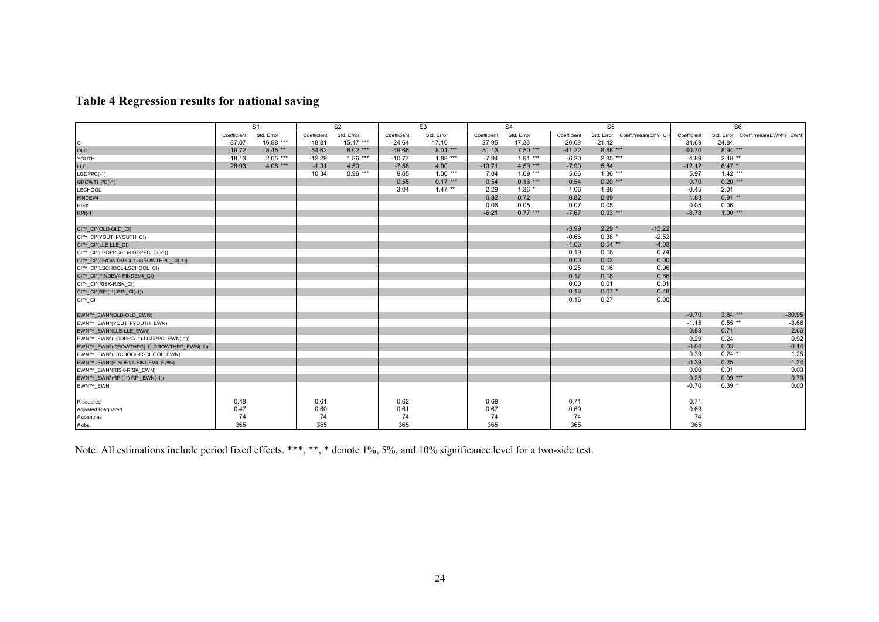# **Table 4 Regression results for national saving**

|                                           | S <sub>1</sub> |            | S <sub>2</sub> |            | S <sub>3</sub> |            |             | S <sub>4</sub> |             | S <sub>5</sub>                  | S <sub>6</sub> |           |                                   |
|-------------------------------------------|----------------|------------|----------------|------------|----------------|------------|-------------|----------------|-------------|---------------------------------|----------------|-----------|-----------------------------------|
|                                           | Coefficient    | Std. Error | Coefficient    | Std. Error | Coefficient    | Std. Error | Coefficient | Std. Error     | Coefficient | Std. Error Coeff.*mean(Cl*Y Cl) | Coefficient    |           | Std. Error Coeff.*mean(EWN*Y EWN) |
| C                                         | $-87.07$       | 16.98 ***  | $-48.81$       | $15.17***$ | $-24.64$       | 17.16      | 27.95       | 17.33          | 20.69       | 21.42                           | 34.69          | 24.84     |                                   |
| <b>OLD</b>                                | $-19.72$       | $8.45**$   | $-54.62$       | $8.02***$  | $-49.66$       | $8.01***$  | $-51.13$    | $7.50***$      | $-41.22$    | $8.88***$                       | $-40.70$       | $8.94***$ |                                   |
| YOUTH                                     | $-18.13$       | $2.05***$  | $-12.29$       | $1.86***$  | $-10.77$       | $1.88***$  | $-7.94$     | $1.91***$      | $-6.20$     | $2.35***$                       | $-4.89$        | $2.48$ ** |                                   |
| LLE.                                      | 28.93          | $4.06***$  | $-1.31$        | 4.50       | $-7.58$        | 4.90       | $-13.71$    | 4.59 ***       | $-7.90$     | 5.84                            | $-12.12$       | $6.47*$   |                                   |
| LGDPPC(-1)                                |                |            | 10.34          | $0.96***$  | 9.65           | $1.00***$  | 7.04        | $1.09***$      | 5.66        | $1.36***$                       | 5.97           | $1.42***$ |                                   |
| GROWTHPC(-1)                              |                |            |                |            | 0.55           | $0.17***$  | 0.54        | $0.16***$      | 0.54        | $0.20***$                       | 0.70           | $0.20***$ |                                   |
| <b>LSCHOOL</b>                            |                |            |                |            | 3.04           | $1.47$ **  | 2.29        | $1.36$ *       | $-1.06$     | 1.88                            | $-0.45$        | 2.01      |                                   |
| FINDEV4                                   |                |            |                |            |                |            | 0.82        | 0.72           | 0.82        | 0.89                            | 1.83           | $0.91$ ** |                                   |
| <b>RISK</b>                               |                |            |                |            |                |            | 0.06        | 0.05           | 0.07        | 0.05                            | 0.05           | 0.06      |                                   |
| $RPI(-1)$                                 |                |            |                |            |                |            | $-6.21$     | $0.77***$      | $-7.67$     | $0.93***$                       | $-8.78$        | $1.00***$ |                                   |
|                                           |                |            |                |            |                |            |             |                |             |                                 |                |           |                                   |
| CI*Y CI*(OLD-OLD CI)                      |                |            |                |            |                |            |             |                | $-3.99$     | $2.29*$<br>$-15.22$             |                |           |                                   |
| CI*Y_CI*(YOUTH-YOUTH_CI)                  |                |            |                |            |                |            |             |                | $-0.66$     | $0.38 *$                        | $-2.52$        |           |                                   |
| CI*Y CI*(LLE-LLE CI)                      |                |            |                |            |                |            |             |                | $-1.06$     | $0.54$ **                       | $-4.03$        |           |                                   |
| CI*Y_CI*(LGDPPC(-1)-LGDPPC_CI(-1))        |                |            |                |            |                |            |             |                | 0.19        | 0.18                            | 0.74           |           |                                   |
| CI*Y_CI*(GROWTHPC(-1)-GROWTHPC_CI(-1))    |                |            |                |            |                |            |             |                | 0.00        | 0.03                            | 0.00           |           |                                   |
| CI*Y_CI*(LSCHOOL-LSCHOOL_CI)              |                |            |                |            |                |            |             |                | 0.25        | 0.16                            | 0.96           |           |                                   |
| CI*Y CI*(FINDEV4-FINDEV4 CI)              |                |            |                |            |                |            |             |                | 0.17        | 0.18                            | 0.66           |           |                                   |
| CI*Y_CI*(RISK-RISK_CI)                    |                |            |                |            |                |            |             |                | 0.00        | 0.01                            | 0.01           |           |                                   |
| CI*Y_CI*(RPI(-1)-RPI_CI(-1))              |                |            |                |            |                |            |             |                | 0.13        | $0.07 *$                        | 0.48           |           |                                   |
| CI*Y_CI                                   |                |            |                |            |                |            |             |                | 0.16        | 0.27                            | 0.00           |           |                                   |
|                                           |                |            |                |            |                |            |             |                |             |                                 |                |           |                                   |
| EWN*Y EWN*(OLD-OLD EWN)                   |                |            |                |            |                |            |             |                |             |                                 | $-9.70$        | $3.84***$ | $-30.95$                          |
| EWN*Y_EWN*(YOUTH-YOUTH_EWN)               |                |            |                |            |                |            |             |                |             |                                 | $-1.15$        | $0.55**$  | $-3.66$                           |
| EWN*Y EWN*(LLE-LLE EWN)                   |                |            |                |            |                |            |             |                |             |                                 | 0.83           | 0.71      | 2.66                              |
| EWN*Y_EWN*(LGDPPC(-1)-LGDPPC_EWN(-1))     |                |            |                |            |                |            |             |                |             |                                 | 0.29           | 0.24      | 0.92                              |
| EWN*Y_EWN*(GROWTHPC(-1)-GROWTHPC_EWN(-1)) |                |            |                |            |                |            |             |                |             |                                 | $-0.04$        | 0.03      | $-0.14$                           |
| EWN*Y_EWN*(LSCHOOL-LSCHOOL_EWN)           |                |            |                |            |                |            |             |                |             |                                 | 0.39           | $0.24$ *  | 1.26                              |
| EWN*Y_EWN*(FINDEV4-FINDEV4_EWN)           |                |            |                |            |                |            |             |                |             |                                 | $-0.39$        | 0.25      | $-1.24$                           |
| EWN*Y_EWN*(RISK-RISK_EWN)                 |                |            |                |            |                |            |             |                |             |                                 | 0.00           | 0.01      | 0.00                              |
| EWN*Y EWN*(RPI(-1)-RPI EWN(-1))           |                |            |                |            |                |            |             |                |             |                                 | 0.25           | $0.09***$ | 0.79                              |
| EWN*Y_EWN                                 |                |            |                |            |                |            |             |                |             |                                 | $-0.70$        | $0.39*$   | 0.00                              |
|                                           |                |            |                |            |                |            |             |                |             |                                 |                |           |                                   |
| R-squared                                 | 0.48           |            | 0.61           |            | 0.62           |            | 0.68        |                | 0.71        |                                 | 0.71           |           |                                   |
| Adjusted R-squared                        | 0.47           |            | 0.60           |            | 0.61           |            | 0.67        |                | 0.69        |                                 | 0.69           |           |                                   |
| # countries                               | 74             |            | 74             |            | 74             |            | 74          |                | 74          |                                 | 74             |           |                                   |
| # obs.                                    | 365            |            | 365            |            | 365            |            | 365         |                | 365         |                                 | 365            |           |                                   |

Note: All estimations include period fixed effects. \*\*\*, \*\*, \* denote 1%, 5%, and 10% significance level for a two-side test.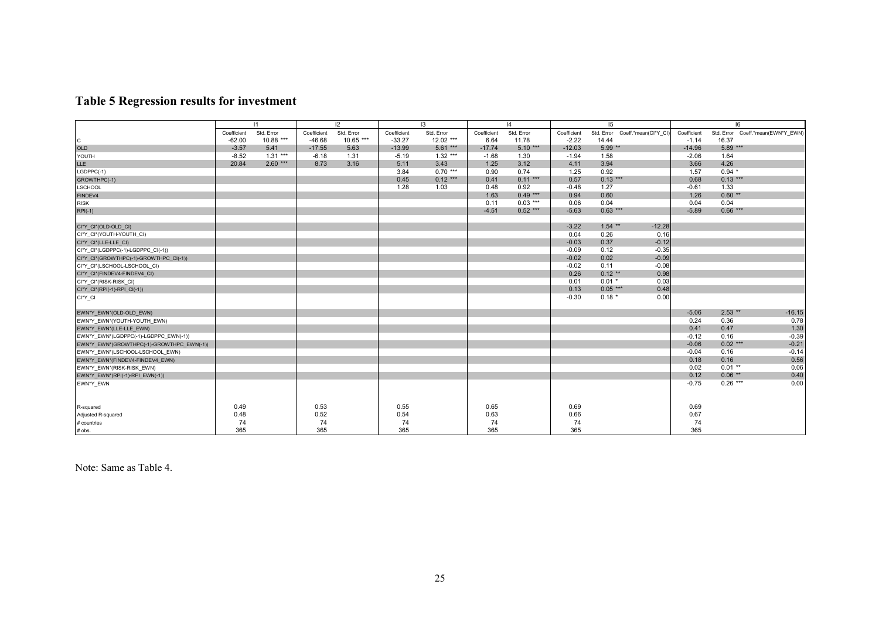# **Table 5 Regression results for investment**

|                                           | 11          |            | 12          |            | 3           |            | 4           |            | 15          |                                 |          | 16          |            |                                   |
|-------------------------------------------|-------------|------------|-------------|------------|-------------|------------|-------------|------------|-------------|---------------------------------|----------|-------------|------------|-----------------------------------|
|                                           | Coefficient | Std. Error | Coefficient | Std. Error | Coefficient | Std. Error | Coefficient | Std. Error | Coefficient | Std. Error Coeff.*mean(Cl*Y_Cl) |          | Coefficient |            | Std. Error Coeff.*mean(EWN*Y_EWN) |
| $\mathtt{C}$                              | $-62.00$    | 10.88 ***  | $-46.68$    | 10.65 ***  | $-33.27$    | $12.02***$ | 6.64        | 11.78      | $-2.22$     | 14.44                           |          | $-1.14$     | 16.37      |                                   |
| OLD                                       | $-3.57$     | 5.41       | $-17.55$    | 5.63       | $-13.99$    | $5.61***$  | $-17.74$    | $5.10***$  | $-12.03$    | 5.99 **                         |          | $-14.96$    | $5.89***$  |                                   |
| YOUTH                                     | $-8.52$     | $1.31***$  | $-6.18$     | 1.31       | $-5.19$     | $1.32***$  | $-1.68$     | 1.30       | $-1.94$     | 1.58                            |          | $-2.06$     | 1.64       |                                   |
| LLE                                       | 20.84       | $2.60***$  | 8.73        | 3.16       | 5.11        | 3.43       | 1.25        | 3.12       | 4.11        | 3.94                            |          | 3.66        | 4.26       |                                   |
| LGDPPC(-1)                                |             |            |             |            | 3.84        | $0.70***$  | 0.90        | 0.74       | 1.25        | 0.92                            |          | 1.57        | $0.94*$    |                                   |
| GROWTHPC(-1)                              |             |            |             |            | 0.45        | $0.12***$  | 0.41        | $0.11***$  | 0.57        | $0.13***$                       |          | 0.68        | $0.13***$  |                                   |
| <b>LSCHOOL</b>                            |             |            |             |            | 1.28        | 1.03       | 0.48        | 0.92       | $-0.48$     | 1.27                            |          | $-0.61$     | 1.33       |                                   |
| FINDEV4                                   |             |            |             |            |             |            | 1.63        | $0.49***$  | 0.94        | 0.60                            |          | 1.26        | $0.60$ **  |                                   |
| <b>RISK</b>                               |             |            |             |            |             |            | 0.11        | $0.03***$  | 0.06        | 0.04                            |          | 0.04        | 0.04       |                                   |
| $RPI(-1)$                                 |             |            |             |            |             |            | $-4.51$     | $0.52***$  | $-5.63$     | $0.63***$                       |          | $-5.89$     | $0.66***$  |                                   |
|                                           |             |            |             |            |             |            |             |            |             |                                 |          |             |            |                                   |
| CI*Y_CI*(OLD-OLD_CI)                      |             |            |             |            |             |            |             |            | $-3.22$     | $1.54$ **                       | $-12.28$ |             |            |                                   |
| CI*Y_CI*(YOUTH-YOUTH_CI)                  |             |            |             |            |             |            |             |            | 0.04        | 0.26                            | 0.16     |             |            |                                   |
| CI*Y_CI*(LLE-LLE_CI)                      |             |            |             |            |             |            |             |            | $-0.03$     | 0.37                            | $-0.12$  |             |            |                                   |
| CI*Y_CI*(LGDPPC(-1)-LGDPPC_CI(-1))        |             |            |             |            |             |            |             |            | $-0.09$     | 0.12                            | $-0.35$  |             |            |                                   |
| CI*Y_CI*(GROWTHPC(-1)-GROWTHPC_CI(-1))    |             |            |             |            |             |            |             |            | $-0.02$     | 0.02                            | $-0.09$  |             |            |                                   |
| CI*Y_CI*(LSCHOOL-LSCHOOL_CI)              |             |            |             |            |             |            |             |            | $-0.02$     | 0.11                            | $-0.08$  |             |            |                                   |
| CI*Y_CI*(FINDEV4-FINDEV4_CI)              |             |            |             |            |             |            |             |            | 0.26        | $0.12$ **                       | 0.98     |             |            |                                   |
| CI*Y_CI*(RISK-RISK_CI)                    |             |            |             |            |             |            |             |            | 0.01        | $0.01 *$                        | 0.03     |             |            |                                   |
| CI*Y_CI*(RPI(-1)-RPI_CI(-1))              |             |            |             |            |             |            |             |            | 0.13        | $0.05***$                       | 0.48     |             |            |                                   |
| CI*Y_CI                                   |             |            |             |            |             |            |             |            | $-0.30$     | $0.18 *$                        | 0.00     |             |            |                                   |
|                                           |             |            |             |            |             |            |             |            |             |                                 |          |             |            |                                   |
| EWN*Y EWN*(OLD-OLD EWN)                   |             |            |             |            |             |            |             |            |             |                                 |          | $-5.06$     | $2.53$ **  | $-16.15$                          |
| EWN*Y_EWN*(YOUTH-YOUTH_EWN)               |             |            |             |            |             |            |             |            |             |                                 |          | 0.24        | 0.36       | 0.78                              |
| EWN*Y_EWN*(LLE-LLE_EWN)                   |             |            |             |            |             |            |             |            |             |                                 |          | 0.41        | 0.47       | 1.30                              |
| EWN*Y_EWN*(LGDPPC(-1)-LGDPPC_EWN(-1))     |             |            |             |            |             |            |             |            |             |                                 |          | $-0.12$     | 0.16       | $-0.39$                           |
| EWN*Y_EWN*(GROWTHPC(-1)-GROWTHPC_EWN(-1)) |             |            |             |            |             |            |             |            |             |                                 |          | $-0.06$     | $0.02$ *** | $-0.21$                           |
| EWN*Y_EWN*(LSCHOOL-LSCHOOL_EWN)           |             |            |             |            |             |            |             |            |             |                                 |          | $-0.04$     | 0.16       | $-0.14$                           |
| EWN*Y_EWN*(FINDEV4-FINDEV4_EWN)           |             |            |             |            |             |            |             |            |             |                                 |          | 0.18        | 0.16       | 0.56                              |
| EWN*Y_EWN*(RISK-RISK_EWN)                 |             |            |             |            |             |            |             |            |             |                                 |          | 0.02        | $0.01$ **  | 0.06                              |
| EWN*Y_EWN*(RPI(-1)-RPI_EWN(-1))           |             |            |             |            |             |            |             |            |             |                                 |          | 0.12        | $0.06$ **  | 0.40                              |
| EWN*Y_EWN                                 |             |            |             |            |             |            |             |            |             |                                 |          | $-0.75$     | $0.26***$  | 0.00                              |
|                                           |             |            |             |            |             |            |             |            |             |                                 |          |             |            |                                   |
|                                           |             |            |             |            |             |            |             |            |             |                                 |          |             |            |                                   |
| R-squared                                 | 0.49        |            | 0.53        |            | 0.55        |            | 0.65        |            | 0.69        |                                 |          | 0.69        |            |                                   |
| Adjusted R-squared                        | 0.48        |            | 0.52        |            | 0.54        |            | 0.63        |            | 0.66        |                                 |          | 0.67        |            |                                   |
| # countries                               | 74          |            | 74          |            | 74          |            | 74          |            | 74          |                                 |          | 74          |            |                                   |
| # obs.                                    | 365         |            | 365         |            | 365         |            | 365         |            | 365         |                                 |          | 365         |            |                                   |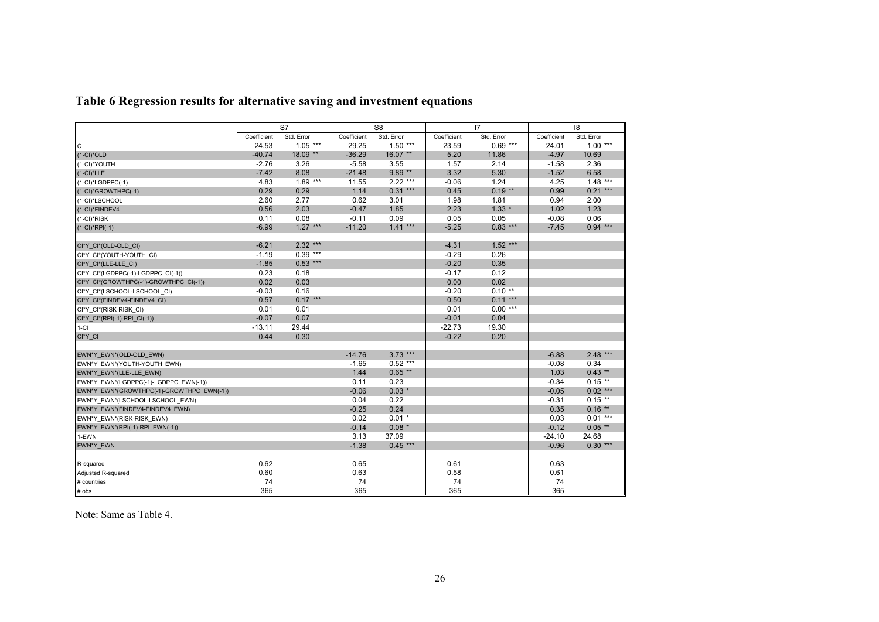|                                           |             | S7         |             | S <sub>8</sub> |             | 17         | 18          |            |  |
|-------------------------------------------|-------------|------------|-------------|----------------|-------------|------------|-------------|------------|--|
|                                           | Coefficient | Std. Error | Coefficient | Std. Error     | Coefficient | Std. Error | Coefficient | Std. Error |  |
| $\mathsf{C}$                              | 24.53       | $1.05***$  | 29.25       | $1.50***$      | 23.59       | $0.69***$  | 24.01       | $1.00***$  |  |
| (1-CI)*OLD                                | $-40.74$    | 18.09 **   | $-36.29$    | $16.07$ **     | 5.20        | 11.86      | $-4.97$     | 10.69      |  |
| (1-Cl)*YOUTH                              | $-2.76$     | 3.26       | $-5.58$     | 3.55           | 1.57        | 2.14       | $-1.58$     | 2.36       |  |
| $(1-CI)^{\star}LLE$                       | $-7.42$     | 8.08       | $-21.48$    | $9.89**$       | 3.32        | 5.30       | $-1.52$     | 6.58       |  |
| $(1-CI)^*LGDPPC(-1)$                      | 4.83        | $1.89***$  | 11.55       | $2.22***$      | $-0.06$     | 1.24       | 4.25        | $1.48***$  |  |
| (1-CI)*GROWTHPC(-1)                       | 0.29        | 0.29       | 1.14        | $0.31***$      | 0.45        | $0.19**$   | 0.99        | $0.21***$  |  |
| (1-CI)*LSCHOOL                            | 2.60        | 2.77       | 0.62        | 3.01           | 1.98        | 1.81       | 0.94        | 2.00       |  |
| (1-CI)*FINDEV4                            | 0.56        | 2.03       | $-0.47$     | 1.85           | 2.23        | $1.33$ *   | 1.02        | 1.23       |  |
| (1-CI)*RISK                               | 0.11        | 0.08       | $-0.11$     | 0.09           | 0.05        | 0.05       | $-0.08$     | 0.06       |  |
| $(1-CI)^*RPI(-1)$                         | $-6.99$     | $1.27***$  | $-11.20$    | $1.41***$      | $-5.25$     | $0.83***$  | $-7.45$     | $0.94***$  |  |
|                                           |             |            |             |                |             |            |             |            |  |
| CI*Y_CI*(OLD-OLD_CI)                      | $-6.21$     | $2.32***$  |             |                | $-4.31$     | $1.52***$  |             |            |  |
| CI*Y_CI*(YOUTH-YOUTH_CI)                  | $-1.19$     | $0.39***$  |             |                | $-0.29$     | 0.26       |             |            |  |
| CI*Y_CI*(LLE-LLE_CI)                      | $-1.85$     | $0.53***$  |             |                | $-0.20$     | 0.35       |             |            |  |
| CI*Y_CI*(LGDPPC(-1)-LGDPPC_CI(-1))        | 0.23        | 0.18       |             |                | $-0.17$     | 0.12       |             |            |  |
| CI*Y_CI*(GROWTHPC(-1)-GROWTHPC_CI(-1))    | 0.02        | 0.03       |             |                | 0.00        | 0.02       |             |            |  |
| CI*Y_CI*(LSCHOOL-LSCHOOL_CI)              | $-0.03$     | 0.16       |             |                | $-0.20$     | $0.10**$   |             |            |  |
| CI*Y_CI*(FINDEV4-FINDEV4_CI)              | 0.57        | $0.17***$  |             |                | 0.50        | $0.11***$  |             |            |  |
| CI*Y_CI*(RISK-RISK_CI)                    | 0.01        | 0.01       |             |                | 0.01        | $0.00***$  |             |            |  |
| CI*Y_CI*(RPI(-1)-RPI_CI(-1))              | $-0.07$     | 0.07       |             |                | $-0.01$     | 0.04       |             |            |  |
| $1-CI$                                    | $-13.11$    | 29.44      |             |                | $-22.73$    | 19.30      |             |            |  |
| CI*Y_CI                                   | 0.44        | 0.30       |             |                | $-0.22$     | 0.20       |             |            |  |
|                                           |             |            |             |                |             |            |             |            |  |
| EWN*Y_EWN*(OLD-OLD_EWN)                   |             |            | $-14.76$    | $3.73***$      |             |            | $-6.88$     | $2.48***$  |  |
| EWN*Y_EWN*(YOUTH-YOUTH_EWN)               |             |            | $-1.65$     | $0.52***$      |             |            | $-0.08$     | 0.34       |  |
| EWN*Y_EWN*(LLE-LLE_EWN)                   |             |            | 1.44        | $0.65$ **      |             |            | 1.03        | $0.43$ **  |  |
| EWN*Y_EWN*(LGDPPC(-1)-LGDPPC_EWN(-1))     |             |            | 0.11        | 0.23           |             |            | $-0.34$     | $0.15$ **  |  |
| EWN*Y_EWN*(GROWTHPC(-1)-GROWTHPC_EWN(-1)) |             |            | $-0.06$     | $0.03*$        |             |            | $-0.05$     | $0.02$ *** |  |
| EWN*Y_EWN*(LSCHOOL-LSCHOOL_EWN)           |             |            | 0.04        | 0.22           |             |            | $-0.31$     | $0.15$ **  |  |
| EWN*Y_EWN*(FINDEV4-FINDEV4_EWN)           |             |            | $-0.25$     | 0.24           |             |            | 0.35        | $0.16$ **  |  |
| EWN*Y_EWN*(RISK-RISK_EWN)                 |             |            | 0.02        | $0.01 *$       |             |            | 0.03        | $0.01***$  |  |
| EWN*Y_EWN*(RPI(-1)-RPI_EWN(-1))           |             |            | $-0.14$     | $0.08*$        |             |            | $-0.12$     | $0.05$ **  |  |
| 1-EWN                                     |             |            | 3.13        | 37.09          |             |            | $-24.10$    | 24.68      |  |
| EWN*Y_EWN                                 |             |            | $-1.38$     | $0.45***$      |             |            | $-0.96$     | $0.30***$  |  |
|                                           |             |            |             |                |             |            |             |            |  |
| R-squared                                 | 0.62        |            | 0.65        |                | 0.61        |            | 0.63        |            |  |
| Adjusted R-squared                        | 0.60        |            | 0.63        |                | 0.58        |            | 0.61        |            |  |
| # countries                               | 74          |            | 74          |                | 74          |            | 74          |            |  |
| # obs.                                    | 365         |            | 365         |                | 365         |            | 365         |            |  |

# **Table 6 Regression results for alternative saving and investment equations**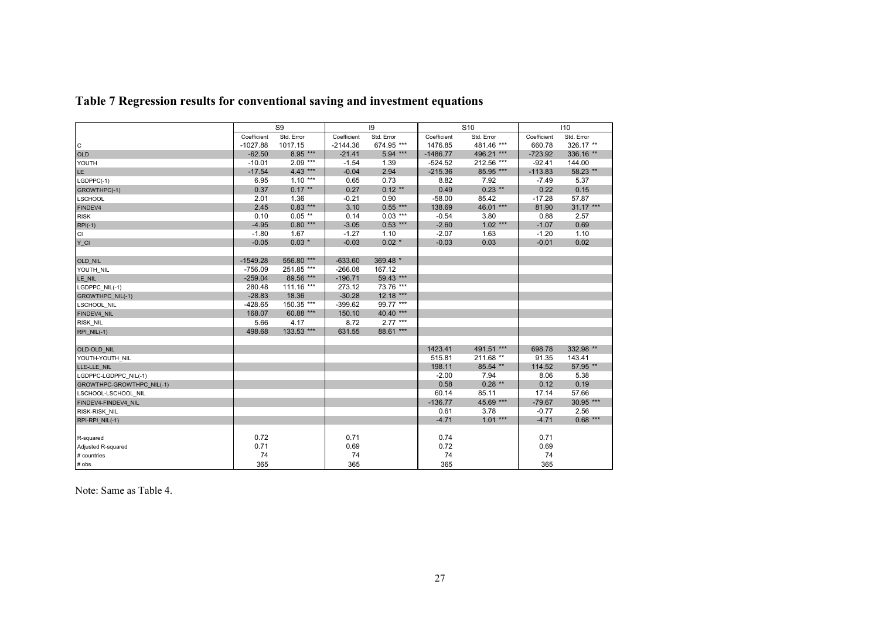|                           | S9          |              |             | 19          |             | S <sub>10</sub> | 110         |             |  |
|---------------------------|-------------|--------------|-------------|-------------|-------------|-----------------|-------------|-------------|--|
|                           | Coefficient | Std. Error   | Coefficient | Std. Error  | Coefficient | Std. Error      | Coefficient | Std. Error  |  |
| $\mathsf{C}$              | $-1027.88$  | 1017.15      | $-2144.36$  | 674.95 ***  | 1476.85     | 481.46 ***      | 660.78      | 326.17 **   |  |
| <b>OLD</b>                | $-62.50$    | $8.95***$    | $-21.41$    | $5.94***$   | $-1486.77$  | 496.21 ***      | $-723.92$   | 336.16 **   |  |
| YOUTH                     | $-10.01$    | $2.09***$    | $-1.54$     | 1.39        | $-524.52$   | 212.56 ***      | $-92.41$    | 144.00      |  |
| LE                        | $-17.54$    | $4.43***$    | $-0.04$     | 2.94        | $-215.36$   | 85.95 ***       | $-113.83$   | 58.23 **    |  |
| $LGDPPC(-1)$              | 6.95        | $1.10***$    | 0.65        | 0.73        | 8.82        | 7.92            | $-7.49$     | 5.37        |  |
| GROWTHPC(-1)              | 0.37        | $0.17**$     | 0.27        | $0.12**$    | 0.49        | $0.23$ **       | 0.22        | 0.15        |  |
| <b>LSCHOOL</b>            | 2.01        | 1.36         | $-0.21$     | 0.90        | $-58.00$    | 85.42           | $-17.28$    | 57.87       |  |
| FINDEV4                   | 2.45        | $0.83***$    | 3.10        | $0.55***$   | 138.69      | 46.01 ***       | 81.90       | $31.17$ *** |  |
| <b>RISK</b>               | 0.10        | $0.05$ **    | 0.14        | $0.03$ ***  | $-0.54$     | 3.80            | 0.88        | 2.57        |  |
| $RPI(-1)$                 | $-4.95$     | $0.80***$    | $-3.05$     | $0.53***$   | $-2.60$     | $1.02***$       | $-1.07$     | 0.69        |  |
| CI                        | $-1.80$     | 1.67         | $-1.27$     | 1.10        | $-2.07$     | 1.63            | $-1.20$     | 1.10        |  |
| $Y$ <sub>_CI</sub>        | $-0.05$     | $0.03*$      | $-0.03$     | $0.02$ *    | $-0.03$     | 0.03            | $-0.01$     | 0.02        |  |
|                           |             |              |             |             |             |                 |             |             |  |
| OLD_NIL                   | $-1549.28$  | 556.80 ***   | $-633.60$   | 369.48 *    |             |                 |             |             |  |
| YOUTH_NIL                 | $-756.09$   | 251.85 ***   | $-266.08$   | 167.12      |             |                 |             |             |  |
| LE_NIL                    | $-259.04$   | 89.56 ***    | $-196.71$   | $59.43$ *** |             |                 |             |             |  |
| LGDPPC_NIL(-1)            | 280.48      | $111.16$ *** | 273.12      | 73.76 ***   |             |                 |             |             |  |
| GROWTHPC_NIL(-1)          | $-28.83$    | 18.36        | $-30.28$    | $12.18***$  |             |                 |             |             |  |
| LSCHOOL_NIL               | $-428.65$   | 150.35 ***   | $-399.62$   | 99.77 ***   |             |                 |             |             |  |
| FINDEV4_NIL               | 168.07      | 60.88 ***    | 150.10      | 40.40 ***   |             |                 |             |             |  |
| RISK_NIL                  | 5.66        | 4.17         | 8.72        | $2.77***$   |             |                 |             |             |  |
| RPI_NIL(-1)               | 498.68      | 133.53 ***   | 631.55      | 88.61 ***   |             |                 |             |             |  |
|                           |             |              |             |             |             |                 |             |             |  |
| OLD-OLD_NIL               |             |              |             |             | 1423.41     | 491.51 ***      | 698.78      | 332.98 **   |  |
| YOUTH-YOUTH_NIL           |             |              |             |             | 515.81      | 211.68 **       | 91.35       | 143.41      |  |
| LLE-LLE_NIL               |             |              |             |             | 198.11      | 85.54 **        | 114.52      | 57.95 **    |  |
| LGDPPC-LGDPPC_NIL(-1)     |             |              |             |             | $-2.00$     | 7.94            | 8.06        | 5.38        |  |
| GROWTHPC-GROWTHPC_NIL(-1) |             |              |             |             | 0.58        | $0.28$ **       | 0.12        | 0.19        |  |
| LSCHOOL-LSCHOOL_NIL       |             |              |             |             | 60.14       | 85.11           | 17.14       | 57.66       |  |
| FINDEV4-FINDEV4_NIL       |             |              |             |             | $-136.77$   | 45.69 ***       | $-79.67$    | 30.95 ***   |  |
| RISK-RISK_NIL             |             |              |             |             | 0.61        | 3.78            | $-0.77$     | 2.56        |  |
| RPI-RPI_NIL(-1)           |             |              |             |             | $-4.71$     | $1.01***$       | $-4.71$     | $0.68***$   |  |
|                           |             |              |             |             |             |                 |             |             |  |
| R-squared                 | 0.72        |              | 0.71        |             | 0.74        |                 | 0.71        |             |  |
| Adjusted R-squared        | 0.71        |              | 0.69        |             | 0.72        |                 | 0.69        |             |  |
| # countries               | 74          |              | 74          |             | 74          |                 | 74          |             |  |
| # obs.                    | 365         |              | 365         |             | 365         |                 | 365         |             |  |

# **Table 7 Regression results for conventional saving and investment equations**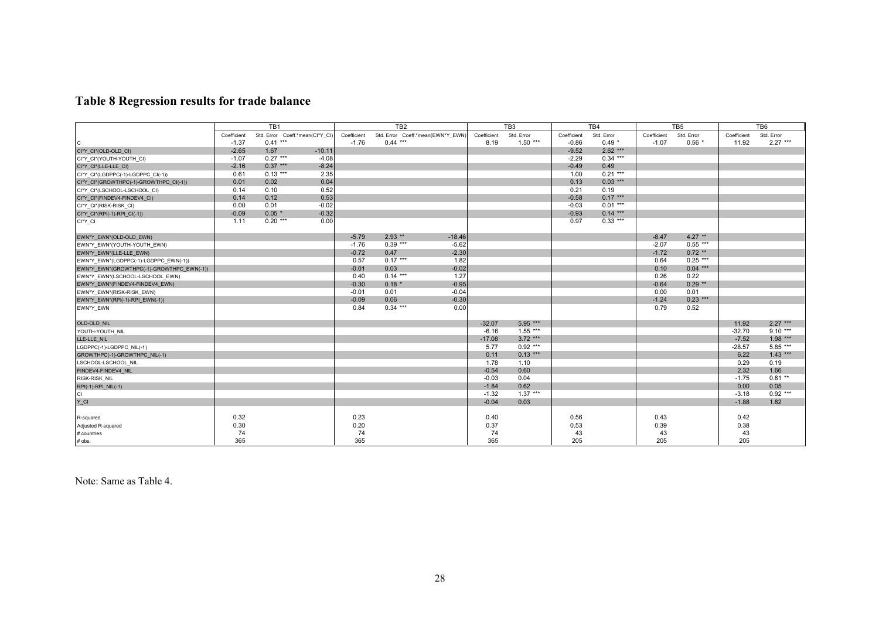# **Table 8 Regression results for trade balance**

|                                           | TB1         |                                 |          | TB <sub>2</sub> |           |                                   | TB <sub>3</sub> |            | TB4         | TB <sub>5</sub> |             | TB <sub>6</sub> |             |            |
|-------------------------------------------|-------------|---------------------------------|----------|-----------------|-----------|-----------------------------------|-----------------|------------|-------------|-----------------|-------------|-----------------|-------------|------------|
|                                           | Coefficient | Std. Error Coeff.*mean(Cl*Y_Cl) |          | Coefficient     |           | Std. Error Coeff.*mean(EWN*Y_EWN) | Coefficient     | Std. Error | Coefficient | Std. Error      | Coefficient | Std. Error      | Coefficient | Std. Error |
| <b>C</b>                                  | $-1.37$     | $0.41***$                       |          | $-1.76$         | $0.44***$ |                                   | 8.19            | $1.50***$  | $-0.86$     | $0.49*$         | $-1.07$     | $0.56*$         | 11.92       | $2.27***$  |
| CI*Y_CI*(OLD-OLD_CI)                      | $-2.65$     | 1.67                            | $-10.11$ |                 |           |                                   |                 |            | $-9.52$     | $2.62***$       |             |                 |             |            |
| CI*Y_CI*(YOUTH-YOUTH_CI)                  | $-1.07$     | $0.27***$                       | $-4.08$  |                 |           |                                   |                 |            | $-2.29$     | $0.34***$       |             |                 |             |            |
| CI*Y_CI*(LLE-LLE_CI)                      | $-2.16$     | $0.37***$                       | $-8.24$  |                 |           |                                   |                 |            | $-0.49$     | 0.49            |             |                 |             |            |
| CI*Y_CI*(LGDPPC(-1)-LGDPPC_CI(-1))        | 0.61        | $0.13***$                       | 2.35     |                 |           |                                   |                 |            | 1.00        | $0.21***$       |             |                 |             |            |
| CI*Y_CI*(GROWTHPC(-1)-GROWTHPC_CI(-1))    | 0.01        | 0.02                            | 0.04     |                 |           |                                   |                 |            | 0.13        | $0.03$ ***      |             |                 |             |            |
| CI*Y_CI*(LSCHOOL-LSCHOOL_CI)              | 0.14        | 0.10                            | 0.52     |                 |           |                                   |                 |            | 0.21        | 0.19            |             |                 |             |            |
| CI*Y_CI*(FINDEV4-FINDEV4_CI)              | 0.14        | 0.12                            | 0.53     |                 |           |                                   |                 |            | $-0.58$     | $0.17***$       |             |                 |             |            |
| CI*Y_CI*(RISK-RISK_CI)                    | 0.00        | 0.01                            | $-0.02$  |                 |           |                                   |                 |            | $-0.03$     | $0.01***$       |             |                 |             |            |
| CI*Y_CI*(RPI(-1)-RPI_CI(-1))              | $-0.09$     | $0.05 *$                        | $-0.32$  |                 |           |                                   |                 |            | $-0.93$     | $0.14***$       |             |                 |             |            |
| CI*Y_CI                                   | 1.11        | $0.20***$                       | 0.00     |                 |           |                                   |                 |            | 0.97        | $0.33***$       |             |                 |             |            |
|                                           |             |                                 |          |                 |           |                                   |                 |            |             |                 |             |                 |             |            |
| EWN*Y_EWN*(OLD-OLD_EWN)                   |             |                                 |          | $-5.79$         | $2.93$ ** | $-18.46$                          |                 |            |             |                 | $-8.47$     | $4.27$ **       |             |            |
| EWN*Y_EWN*(YOUTH-YOUTH_EWN)               |             |                                 |          | $-1.76$         | $0.39***$ | $-5.62$                           |                 |            |             |                 | $-2.07$     | $0.55***$       |             |            |
| EWN*Y_EWN*(LLE-LLE_EWN)                   |             |                                 |          | $-0.72$         | 0.47      | $-2.30$                           |                 |            |             |                 | $-1.72$     | $0.72$ **       |             |            |
| EWN*Y_EWN*(LGDPPC(-1)-LGDPPC_EWN(-1))     |             |                                 |          | 0.57            | $0.17***$ | 1.82                              |                 |            |             |                 | 0.64        | $0.25***$       |             |            |
| EWN*Y_EWN*(GROWTHPC(-1)-GROWTHPC_EWN(-1)) |             |                                 |          | $-0.01$         | 0.03      | $-0.02$                           |                 |            |             |                 | 0.10        | $0.04***$       |             |            |
| EWN*Y_EWN*(LSCHOOL-LSCHOOL_EWN)           |             |                                 |          | 0.40            | $0.14***$ | 1.27                              |                 |            |             |                 | 0.26        | 0.22            |             |            |
| EWN*Y_EWN*(FINDEV4-FINDEV4_EWN)           |             |                                 |          | $-0.30$         | $0.18 *$  | $-0.95$                           |                 |            |             |                 | $-0.64$     | $0.29$ **       |             |            |
| EWN*Y_EWN*(RISK-RISK_EWN)                 |             |                                 |          | $-0.01$         | 0.01      | $-0.04$                           |                 |            |             |                 | 0.00        | 0.01            |             |            |
| EWN*Y_EWN*(RPI(-1)-RPI_EWN(-1))           |             |                                 |          | $-0.09$         | 0.06      | $-0.30$                           |                 |            |             |                 | $-1.24$     | $0.23$ ***      |             |            |
| EWN*Y_EWN                                 |             |                                 |          | 0.84            | $0.34***$ | 0.00                              |                 |            |             |                 | 0.79        | 0.52            |             |            |
|                                           |             |                                 |          |                 |           |                                   |                 |            |             |                 |             |                 |             |            |
| OLD-OLD NIL                               |             |                                 |          |                 |           |                                   | $-32.07$        | $5.95***$  |             |                 |             |                 | 11.92       | $2.27***$  |
| YOUTH-YOUTH_NIL                           |             |                                 |          |                 |           |                                   | $-6.16$         | $1.55***$  |             |                 |             |                 | $-32.70$    | $9.10***$  |
| LLE-LLE_NIL                               |             |                                 |          |                 |           |                                   | $-17.08$        | $3.72***$  |             |                 |             |                 | $-7.52$     | $1.98***$  |
| LGDPPC(-1)-LGDPPC_NIL(-1)                 |             |                                 |          |                 |           |                                   | 5.77            | $0.92***$  |             |                 |             |                 | $-28.57$    | $5.85***$  |
| GROWTHPC(-1)-GROWTHPC_NIL(-1)             |             |                                 |          |                 |           |                                   | 0.11            | $0.13***$  |             |                 |             |                 | 6.22        | $1.43***$  |
| LSCHOOL-LSCHOOL_NIL                       |             |                                 |          |                 |           |                                   | 1.78            | 1.10       |             |                 |             |                 | 0.29        | 0.19       |
| FINDEV4-FINDEV4_NIL                       |             |                                 |          |                 |           |                                   | $-0.54$         | 0.60       |             |                 |             |                 | 2.32        | 1.66       |
| RISK-RISK_NIL                             |             |                                 |          |                 |           |                                   | $-0.03$         | 0.04       |             |                 |             |                 | $-1.75$     | $0.81**$   |
| RPI(-1)-RPI_NIL(-1)                       |             |                                 |          |                 |           |                                   | $-1.84$         | 0.62       |             |                 |             |                 | 0.00        | 0.05       |
| <b>CI</b>                                 |             |                                 |          |                 |           |                                   | $-1.32$         | $1.37***$  |             |                 |             |                 | $-3.18$     | $0.92***$  |
| $Y_C1$                                    |             |                                 |          |                 |           |                                   | $-0.04$         | 0.03       |             |                 |             |                 | $-1.88$     | 1.82       |
|                                           |             |                                 |          |                 |           |                                   |                 |            |             |                 |             |                 |             |            |
| R-squared                                 | 0.32        |                                 |          | 0.23            |           |                                   | 0.40            |            | 0.56        |                 | 0.43        |                 | 0.42        |            |
| Adjusted R-squared                        | 0.30        |                                 |          | 0.20            |           |                                   | 0.37            |            | 0.53        |                 | 0.39        |                 | 0.38        |            |
| # countries                               | 74          |                                 |          | 74              |           |                                   | 74              |            | 43          |                 | 43          |                 | 43          |            |
| # obs.                                    | 365         |                                 |          | 365             |           |                                   | 365             |            | 205         |                 | 205         |                 | 205         |            |